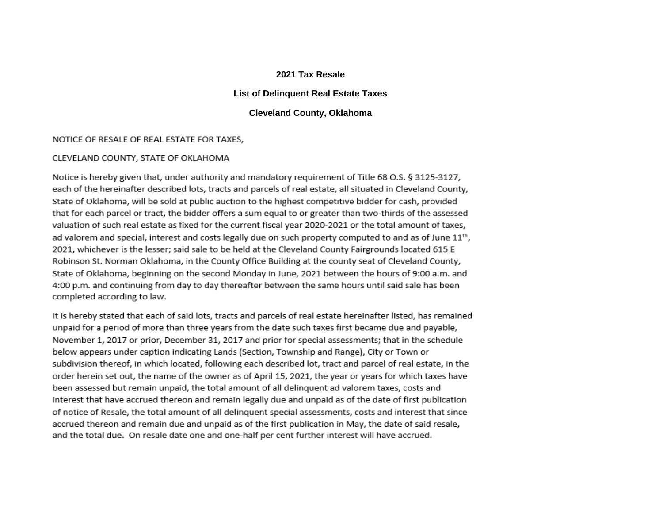## **2021 Tax Resale**

# **List of Delinquent Real Estate Taxes**

## **Cleveland County, Oklahoma**

#### NOTICE OF RESALE OF REAL ESTATE FOR TAXES,

#### CLEVELAND COUNTY, STATE OF OKLAHOMA

Notice is hereby given that, under authority and mandatory requirement of Title 68 O.S. § 3125-3127, each of the hereinafter described lots, tracts and parcels of real estate, all situated in Cleveland County, State of Oklahoma, will be sold at public auction to the highest competitive bidder for cash, provided that for each parcel or tract, the bidder offers a sum equal to or greater than two-thirds of the assessed valuation of such real estate as fixed for the current fiscal year 2020-2021 or the total amount of taxes, ad valorem and special, interest and costs legally due on such property computed to and as of June 11<sup>th</sup>, 2021, whichever is the lesser; said sale to be held at the Cleveland County Fairgrounds located 615 E Robinson St. Norman Oklahoma, in the County Office Building at the county seat of Cleveland County, State of Oklahoma, beginning on the second Monday in June, 2021 between the hours of 9:00 a.m. and 4:00 p.m. and continuing from day to day thereafter between the same hours until said sale has been completed according to law.

It is hereby stated that each of said lots, tracts and parcels of real estate hereinafter listed, has remained unpaid for a period of more than three years from the date such taxes first became due and payable, November 1, 2017 or prior, December 31, 2017 and prior for special assessments; that in the schedule below appears under caption indicating Lands (Section, Township and Range), City or Town or subdivision thereof, in which located, following each described lot, tract and parcel of real estate, in the order herein set out, the name of the owner as of April 15, 2021, the year or years for which taxes have been assessed but remain unpaid, the total amount of all delinguent ad valorem taxes, costs and interest that have accrued thereon and remain legally due and unpaid as of the date of first publication of notice of Resale, the total amount of all delinquent special assessments, costs and interest that since accrued thereon and remain due and unpaid as of the first publication in May, the date of said resale, and the total due. On resale date one and one-half per cent further interest will have accrued.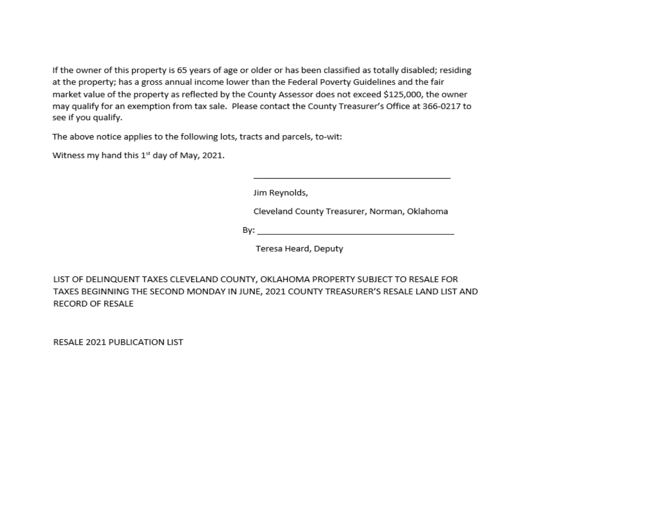If the owner of this property is 65 years of age or older or has been classified as totally disabled; residing at the property; has a gross annual income lower than the Federal Poverty Guidelines and the fair market value of the property as reflected by the County Assessor does not exceed \$125,000, the owner may qualify for an exemption from tax sale. Please contact the County Treasurer's Office at 366-0217 to see if you qualify.

The above notice applies to the following lots, tracts and parcels, to-wit:

Witness my hand this 1st day of May, 2021.

Jim Reynolds,

Cleveland County Treasurer, Norman, Oklahoma

By: The contract of the contract of the contract of the contract of the contract of the contract of the contract of the contract of the contract of the contract of the contract of the contract of the contract of the contra

Teresa Heard, Deputy

LIST OF DELINQUENT TAXES CLEVELAND COUNTY, OKLAHOMA PROPERTY SUBJECT TO RESALE FOR TAXES BEGINNING THE SECOND MONDAY IN JUNE, 2021 COUNTY TREASURER'S RESALE LAND LIST AND **RECORD OF RESALE** 

RESALE 2021 PUBLICATION LIST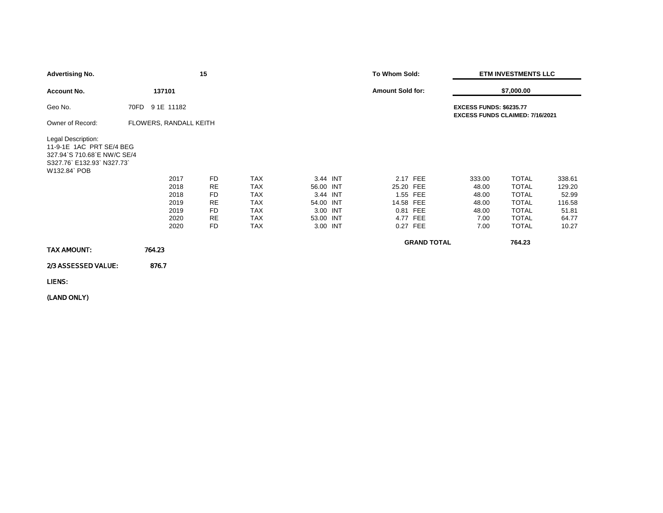| <b>Advertising No.</b>                                                                                                  |                                                      | 15                                                                               |                                                                                                |                                                                                     | To Whom Sold:                                                                      | <b>ETM INVESTMENTS LLC</b>                                               |                                                                                                              |                                                                |  |
|-------------------------------------------------------------------------------------------------------------------------|------------------------------------------------------|----------------------------------------------------------------------------------|------------------------------------------------------------------------------------------------|-------------------------------------------------------------------------------------|------------------------------------------------------------------------------------|--------------------------------------------------------------------------|--------------------------------------------------------------------------------------------------------------|----------------------------------------------------------------|--|
| <b>Account No.</b>                                                                                                      | 137101                                               |                                                                                  |                                                                                                |                                                                                     | <b>Amount Sold for:</b>                                                            | \$7,000.00                                                               |                                                                                                              |                                                                |  |
| Geo No.                                                                                                                 | 70FD 91E 11182                                       |                                                                                  |                                                                                                |                                                                                     |                                                                                    | <b>EXCESS FUNDS: \$6235.77</b><br><b>EXCESS FUNDS CLAIMED: 7/16/2021</b> |                                                                                                              |                                                                |  |
| Owner of Record:                                                                                                        | FLOWERS, RANDALL KEITH                               |                                                                                  |                                                                                                |                                                                                     |                                                                                    |                                                                          |                                                                                                              |                                                                |  |
| Legal Description:<br>11-9-1E 1AC PRT SE/4 BEG<br>327.94 S 710.68 E NW/C SE/4<br>S327.76 E132.93 N327.73<br>W132.84 POB | 2017<br>2018<br>2018<br>2019<br>2019<br>2020<br>2020 | <b>FD</b><br><b>RE</b><br><b>FD</b><br>RE<br><b>FD</b><br><b>RE</b><br><b>FD</b> | <b>TAX</b><br><b>TAX</b><br><b>TAX</b><br><b>TAX</b><br><b>TAX</b><br><b>TAX</b><br><b>TAX</b> | 3.44 INT<br>56.00 INT<br>3.44 INT<br>54.00 INT<br>3.00 INT<br>53.00 INT<br>3.00 INT | 2.17 FEE<br>25.20 FEE<br>1.55 FEE<br>14.58 FEE<br>0.81 FEE<br>4.77 FEE<br>0.27 FEE | 333.00<br>48.00<br>48.00<br>48.00<br>48.00<br>7.00<br>7.00               | <b>TOTAL</b><br><b>TOTAL</b><br><b>TOTAL</b><br><b>TOTAL</b><br><b>TOTAL</b><br><b>TOTAL</b><br><b>TOTAL</b> | 338.61<br>129.20<br>52.99<br>116.58<br>51.81<br>64.77<br>10.27 |  |
| TAX AMOUNT:                                                                                                             | 764.23                                               |                                                                                  |                                                                                                |                                                                                     | <b>GRAND TOTAL</b>                                                                 |                                                                          | 764.23                                                                                                       |                                                                |  |
| 2/3 ASSESSED VALUE:                                                                                                     | 876.7                                                |                                                                                  |                                                                                                |                                                                                     |                                                                                    |                                                                          |                                                                                                              |                                                                |  |
| LIENS:                                                                                                                  |                                                      |                                                                                  |                                                                                                |                                                                                     |                                                                                    |                                                                          |                                                                                                              |                                                                |  |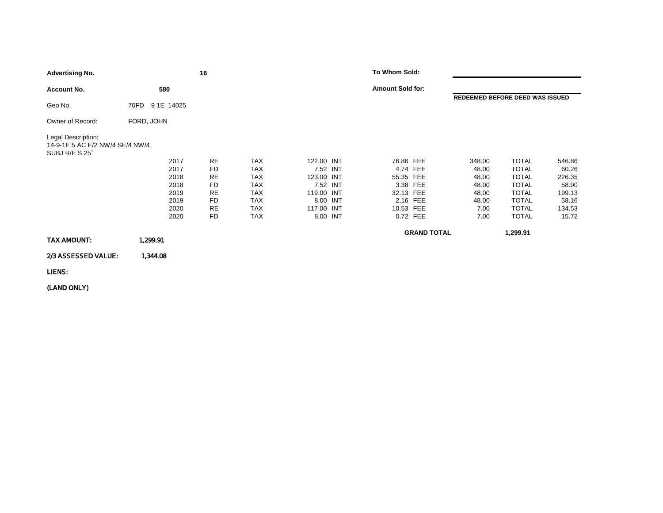| <b>Advertising No.</b>                                                 |                    | 16 |            |            | To Whom Sold:           |                    |                                 |        |
|------------------------------------------------------------------------|--------------------|----|------------|------------|-------------------------|--------------------|---------------------------------|--------|
| <b>Account No.</b>                                                     | 580                |    |            |            | <b>Amount Sold for:</b> |                    |                                 |        |
| Geo No.                                                                | 9 1E 14025<br>70FD |    |            |            |                         |                    | REDEEMED BEFORE DEED WAS ISSUED |        |
| Owner of Record:                                                       | FORD, JOHN         |    |            |            |                         |                    |                                 |        |
| Legal Description:<br>14-9-1E 5 AC E/2 NW/4 SE/4 NW/4<br>SUBJ R/E S 25 |                    |    |            |            |                         |                    |                                 |        |
|                                                                        | 2017               | RE | <b>TAX</b> | 122.00 INT | 76.86 FEE               | 348.00             | <b>TOTAL</b>                    | 546.86 |
|                                                                        | 2017               | FD | <b>TAX</b> | 7.52 INT   | 4.74 FEE                | 48.00              | <b>TOTAL</b>                    | 60.26  |
|                                                                        | 2018               | RE | <b>TAX</b> | 123.00 INT | 55.35 FEE               | 48.00              | <b>TOTAL</b>                    | 226.35 |
|                                                                        | 2018               | FD | <b>TAX</b> | 7.52 INT   | 3.38 FEE                | 48.00              | <b>TOTAL</b>                    | 58.90  |
|                                                                        | 2019               | RE | <b>TAX</b> | 119.00 INT | 32.13 FEE               | 48.00              | <b>TOTAL</b>                    | 199.13 |
|                                                                        | 2019               | FD | <b>TAX</b> | 8.00 INT   | 2.16 FEE                | 48.00              | <b>TOTAL</b>                    | 58.16  |
|                                                                        | 2020               | RE | <b>TAX</b> | 117.00 INT | 10.53 FEE               | 7.00               | <b>TOTAL</b>                    | 134.53 |
|                                                                        | 2020               | FD | <b>TAX</b> | 8.00 INT   | 0.72 FEE                | 7.00               | <b>TOTAL</b>                    | 15.72  |
|                                                                        |                    |    |            |            |                         | <b>GRAND TOTAL</b> | 1,299.91                        |        |
| TAX AMOUNT:                                                            | 1,299.91           |    |            |            |                         |                    |                                 |        |
| 2/3 ASSESSED VALUE:                                                    | 1,344.08           |    |            |            |                         |                    |                                 |        |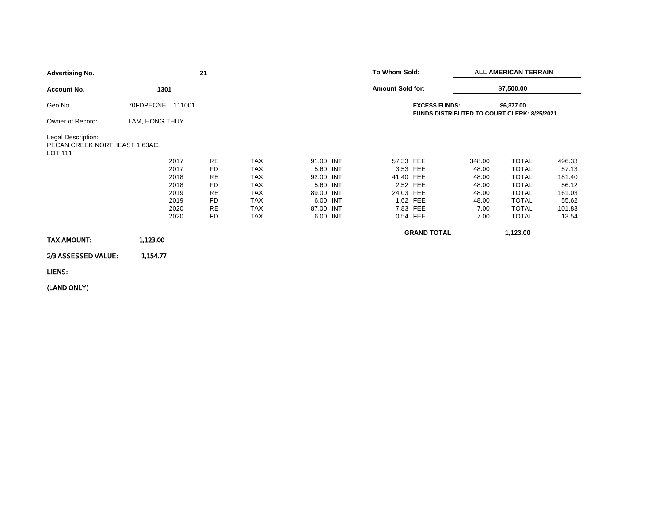| <b>Advertising No.</b>                                                |                     | 21        |            |           |          | To Whom Sold:           |                      | <b>ALL AMERICAN TERRAIN</b>                 |              |        |
|-----------------------------------------------------------------------|---------------------|-----------|------------|-----------|----------|-------------------------|----------------------|---------------------------------------------|--------------|--------|
| <b>Account No.</b>                                                    | 1301                |           |            |           |          | <b>Amount Sold for:</b> |                      |                                             | \$7,500.00   |        |
| Geo No.                                                               | 70FDPECNE<br>111001 |           |            |           |          |                         | <b>EXCESS FUNDS:</b> | FUNDS DISTRIBUTED TO COURT CLERK: 8/25/2021 | \$6,377.00   |        |
| Owner of Record:                                                      | LAM, HONG THUY      |           |            |           |          |                         |                      |                                             |              |        |
| Legal Description:<br>PECAN CREEK NORTHEAST 1.63AC.<br><b>LOT 111</b> |                     |           |            |           |          |                         |                      |                                             |              |        |
|                                                                       | 2017                | <b>RE</b> | <b>TAX</b> | 91.00 INT |          | 57.33 FEE               |                      | 348.00                                      | <b>TOTAL</b> | 496.33 |
|                                                                       | 2017                | <b>FD</b> | <b>TAX</b> | 5.60 INT  |          |                         | 3.53 FEE             | 48.00                                       | <b>TOTAL</b> | 57.13  |
|                                                                       | 2018                | <b>RE</b> | <b>TAX</b> | 92.00 INT |          | 41.40 FEE               |                      | 48.00                                       | <b>TOTAL</b> | 181.40 |
|                                                                       | 2018                | FD        | <b>TAX</b> | 5.60 INT  |          |                         | 2.52 FEE             | 48.00                                       | <b>TOTAL</b> | 56.12  |
|                                                                       | 2019                | <b>RE</b> | <b>TAX</b> | 89.00 INT |          | 24.03 FEE               |                      | 48.00                                       | <b>TOTAL</b> | 161.03 |
|                                                                       | 2019                | FD        | <b>TAX</b> | 6.00 INT  |          |                         | 1.62 FEE             | 48.00                                       | <b>TOTAL</b> | 55.62  |
|                                                                       | 2020                | <b>RE</b> | <b>TAX</b> | 87.00 INT |          |                         | 7.83 FEE             | 7.00                                        | <b>TOTAL</b> | 101.83 |
|                                                                       | 2020                | FD        | <b>TAX</b> |           | 6.00 INT |                         | 0.54 FEE             | 7.00                                        | <b>TOTAL</b> | 13.54  |
|                                                                       |                     |           |            |           |          |                         | <b>GRAND TOTAL</b>   |                                             | 1,123.00     |        |
| TAX AMOUNT:                                                           | 1,123.00            |           |            |           |          |                         |                      |                                             |              |        |
| 2/3 ASSESSED VALUE:                                                   | 1,154.77            |           |            |           |          |                         |                      |                                             |              |        |
| LIENS:                                                                |                     |           |            |           |          |                         |                      |                                             |              |        |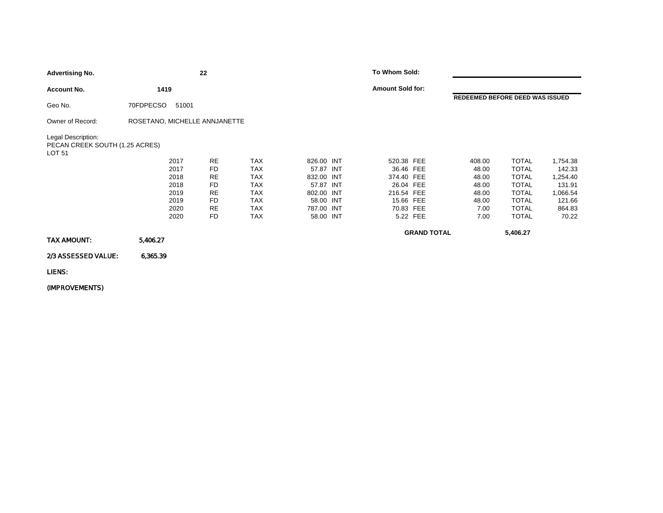| <b>Advertising No.</b>                                         |                               | 22        |            |            | To Whom Sold:           |                    |                                 |              |          |
|----------------------------------------------------------------|-------------------------------|-----------|------------|------------|-------------------------|--------------------|---------------------------------|--------------|----------|
| <b>Account No.</b>                                             | 1419                          |           |            |            | <b>Amount Sold for:</b> |                    |                                 |              |          |
| Geo No.                                                        | 70FDPECSO<br>51001            |           |            |            |                         |                    | REDEEMED BEFORE DEED WAS ISSUED |              |          |
| Owner of Record:                                               | ROSETANO, MICHELLE ANNJANETTE |           |            |            |                         |                    |                                 |              |          |
| Legal Description:<br>PECAN CREEK SOUTH (1.25 ACRES)<br>LOT 51 |                               |           |            |            |                         |                    |                                 |              |          |
|                                                                | 2017                          | <b>RE</b> | <b>TAX</b> | 826.00 INT | 520.38 FEE              |                    | 408.00                          | <b>TOTAL</b> | 1,754.38 |
|                                                                | 2017                          | FD        | <b>TAX</b> | 57.87 INT  | 36.46 FEE               |                    | 48.00                           | <b>TOTAL</b> | 142.33   |
|                                                                | 2018                          | <b>RE</b> | <b>TAX</b> | 832.00 INT | 374.40 FEE              |                    | 48.00                           | <b>TOTAL</b> | 1,254.40 |
|                                                                | 2018                          | FD        | <b>TAX</b> | 57.87 INT  | 26.04 FEE               |                    | 48.00                           | <b>TOTAL</b> | 131.91   |
|                                                                | 2019                          | <b>RE</b> | <b>TAX</b> | 802.00 INT | 216.54 FEE              |                    | 48.00                           | <b>TOTAL</b> | 1,066.54 |
|                                                                | 2019                          | FD        | <b>TAX</b> | 58.00 INT  | 15.66 FEE               |                    | 48.00                           | <b>TOTAL</b> | 121.66   |
|                                                                | 2020                          | <b>RE</b> | <b>TAX</b> | 787.00 INT | 70.83 FEE               |                    | 7.00                            | <b>TOTAL</b> | 864.83   |
|                                                                | 2020                          | FD        | <b>TAX</b> | 58.00 INT  |                         | 5.22 FEE           | 7.00                            | <b>TOTAL</b> | 70.22    |
| TAX AMOUNT:                                                    | 5,406.27                      |           |            |            |                         | <b>GRAND TOTAL</b> |                                 | 5,406.27     |          |
|                                                                |                               |           |            |            |                         |                    |                                 |              |          |
| 2/3 ASSESSED VALUE:                                            | 6,365.39                      |           |            |            |                         |                    |                                 |              |          |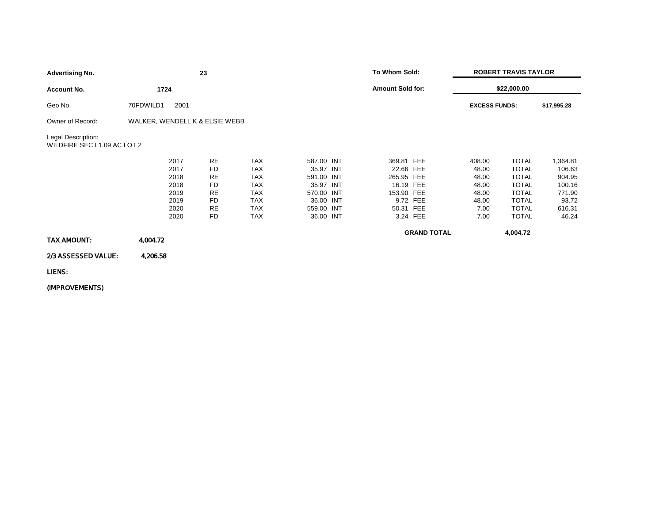| <b>Advertising No.</b>                             |                                | 23        |            |            | To Whom Sold:           |                    | <b>ROBERT TRAVIS TAYLOR</b> |              |             |  |
|----------------------------------------------------|--------------------------------|-----------|------------|------------|-------------------------|--------------------|-----------------------------|--------------|-------------|--|
| <b>Account No.</b>                                 | 1724                           |           |            |            | <b>Amount Sold for:</b> |                    | \$22,000.00                 |              |             |  |
| Geo No.                                            | 70FDWILD1<br>2001              |           |            |            |                         |                    | <b>EXCESS FUNDS:</b>        |              | \$17,995.28 |  |
| Owner of Record:                                   | WALKER, WENDELL K & ELSIE WEBB |           |            |            |                         |                    |                             |              |             |  |
| Legal Description:<br>WILDFIRE SEC I 1.09 AC LOT 2 |                                |           |            |            |                         |                    |                             |              |             |  |
|                                                    | 2017                           | <b>RE</b> | <b>TAX</b> | 587.00 INT | 369.81 FEE              |                    | 408.00                      | <b>TOTAL</b> | 1,364.81    |  |
|                                                    | 2017                           | FD        | <b>TAX</b> | 35.97 INT  | 22.66 FEE               |                    | 48.00                       | <b>TOTAL</b> | 106.63      |  |
|                                                    | 2018                           | <b>RE</b> | <b>TAX</b> | 591.00 INT | 265.95 FEE              |                    | 48.00                       | <b>TOTAL</b> | 904.95      |  |
|                                                    | 2018                           | FD        | <b>TAX</b> | 35.97 INT  | 16.19 FEE               |                    | 48.00                       | <b>TOTAL</b> | 100.16      |  |
|                                                    | 2019                           | RE        | <b>TAX</b> | 570.00 INT | 153.90 FEE              |                    | 48.00                       | <b>TOTAL</b> | 771.90      |  |
|                                                    | 2019                           | FD        | <b>TAX</b> | 36.00 INT  |                         | 9.72 FEE           | 48.00                       | <b>TOTAL</b> | 93.72       |  |
|                                                    | 2020                           | <b>RE</b> | <b>TAX</b> | 559.00 INT | 50.31 FEE               |                    | 7.00                        | <b>TOTAL</b> | 616.31      |  |
|                                                    | 2020                           | FD        | <b>TAX</b> | 36.00 INT  |                         | 3.24 FEE           | 7.00                        | <b>TOTAL</b> | 46.24       |  |
| TAX AMOUNT:                                        | 4,004.72                       |           |            |            |                         | <b>GRAND TOTAL</b> |                             | 4,004.72     |             |  |
| 2/3 ASSESSED VALUE:                                | 4,206.58                       |           |            |            |                         |                    |                             |              |             |  |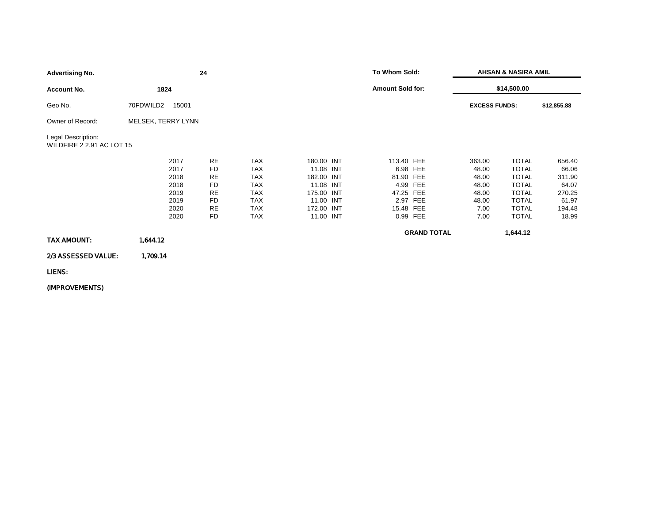|                           | 24        |                             |  |                                                                                                          |     | <b>AHSAN &amp; NASIRA AMIL</b>                                                                                                                                  |              |                                     |  |
|---------------------------|-----------|-----------------------------|--|----------------------------------------------------------------------------------------------------------|-----|-----------------------------------------------------------------------------------------------------------------------------------------------------------------|--------------|-------------------------------------|--|
| 1824                      |           |                             |  |                                                                                                          |     |                                                                                                                                                                 |              |                                     |  |
| 70FDWILD2                 |           |                             |  |                                                                                                          |     |                                                                                                                                                                 |              | \$12,855.88                         |  |
|                           |           |                             |  |                                                                                                          |     |                                                                                                                                                                 |              |                                     |  |
| WILDFIRE 2 2.91 AC LOT 15 |           |                             |  |                                                                                                          |     |                                                                                                                                                                 |              |                                     |  |
| 2017                      | <b>RE</b> | <b>TAX</b>                  |  |                                                                                                          |     | 363.00                                                                                                                                                          | <b>TOTAL</b> | 656.40                              |  |
| 2017                      | <b>FD</b> | <b>TAX</b>                  |  |                                                                                                          |     | 48.00                                                                                                                                                           | <b>TOTAL</b> | 66.06                               |  |
| 2018                      | RE        | <b>TAX</b>                  |  |                                                                                                          |     | 48.00                                                                                                                                                           | <b>TOTAL</b> | 311.90                              |  |
| 2018                      | <b>FD</b> | <b>TAX</b>                  |  |                                                                                                          | FEE | 48.00                                                                                                                                                           | <b>TOTAL</b> | 64.07                               |  |
| 2019                      | <b>RE</b> | <b>TAX</b>                  |  |                                                                                                          |     | 48.00                                                                                                                                                           | <b>TOTAL</b> | 270.25                              |  |
| 2019                      | FD        | <b>TAX</b>                  |  |                                                                                                          |     | 48.00                                                                                                                                                           | <b>TOTAL</b> | 61.97                               |  |
| 2020                      | <b>RE</b> | <b>TAX</b>                  |  |                                                                                                          |     | 7.00                                                                                                                                                            | <b>TOTAL</b> | 194.48                              |  |
| 2020                      | FD        | <b>TAX</b>                  |  |                                                                                                          |     | 7.00                                                                                                                                                            | <b>TOTAL</b> | 18.99                               |  |
|                           |           |                             |  |                                                                                                          |     |                                                                                                                                                                 | 1,644.12     |                                     |  |
| 1,644.12                  |           |                             |  |                                                                                                          |     |                                                                                                                                                                 |              |                                     |  |
| 1,709.14                  |           |                             |  |                                                                                                          |     |                                                                                                                                                                 |              |                                     |  |
|                           |           | 15001<br>MELSEK, TERRY LYNN |  | 180.00 INT<br>11.08 INT<br>182.00 INT<br>11.08 INT<br>175.00 INT<br>11.00 INT<br>172.00 INT<br>11.00 INT |     | To Whom Sold:<br><b>Amount Sold for:</b><br>113.40 FEE<br>6.98 FEE<br>81.90 FEE<br>4.99<br>47.25 FEE<br>2.97 FEE<br>15.48 FEE<br>0.99 FEE<br><b>GRAND TOTAL</b> |              | \$14,500.00<br><b>EXCESS FUNDS:</b> |  |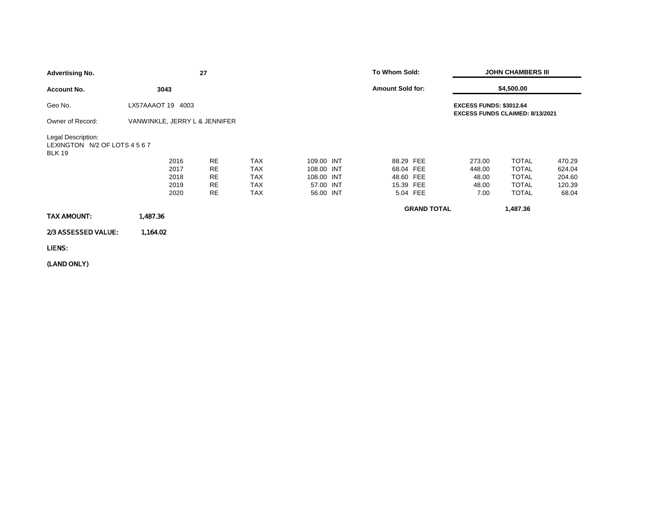| <b>Advertising No.</b>                                               |                               | 27        |            |            | To Whom Sold:                                                            |                    | <b>JOHN CHAMBERS III</b> |              |        |  |
|----------------------------------------------------------------------|-------------------------------|-----------|------------|------------|--------------------------------------------------------------------------|--------------------|--------------------------|--------------|--------|--|
| <b>Account No.</b>                                                   | 3043                          |           |            |            | <b>Amount Sold for:</b>                                                  |                    |                          | \$4,500.00   |        |  |
| Geo No.                                                              | LX57AAAOT 19 4003             |           |            |            | <b>EXCESS FUNDS: \$3012.64</b><br><b>EXCESS FUNDS CLAIMED: 8/13/2021</b> |                    |                          |              |        |  |
| Owner of Record:                                                     | VANWINKLE, JERRY L & JENNIFER |           |            |            |                                                                          |                    |                          |              |        |  |
| Legal Description:<br>LEXINGTON N/2 OF LOTS 4 5 6 7<br><b>BLK 19</b> |                               |           |            |            |                                                                          |                    |                          |              |        |  |
|                                                                      | 2016                          | <b>RE</b> | <b>TAX</b> | 109.00 INT | 88.29 FEE                                                                |                    | 273.00                   | <b>TOTAL</b> | 470.29 |  |
|                                                                      | 2017                          | <b>RE</b> | <b>TAX</b> | 108.00 INT | 68.04 FEE                                                                |                    | 448.00                   | <b>TOTAL</b> | 624.04 |  |
|                                                                      | 2018                          | <b>RE</b> | <b>TAX</b> | 108.00 INT | 48.60 FEE                                                                |                    | 48.00                    | <b>TOTAL</b> | 204.60 |  |
|                                                                      | 2019                          | <b>RE</b> | <b>TAX</b> | 57.00 INT  | 15.39 FEE                                                                |                    | 48.00                    | <b>TOTAL</b> | 120.39 |  |
|                                                                      | 2020                          | <b>RE</b> | <b>TAX</b> | 56.00 INT  |                                                                          | 5.04 FEE           | 7.00                     | <b>TOTAL</b> | 68.04  |  |
| <b>TAX AMOUNT:</b>                                                   | 1,487.36                      |           |            |            |                                                                          | <b>GRAND TOTAL</b> |                          | 1,487.36     |        |  |
| 2/3 ASSESSED VALUE:                                                  | 1,164.02                      |           |            |            |                                                                          |                    |                          |              |        |  |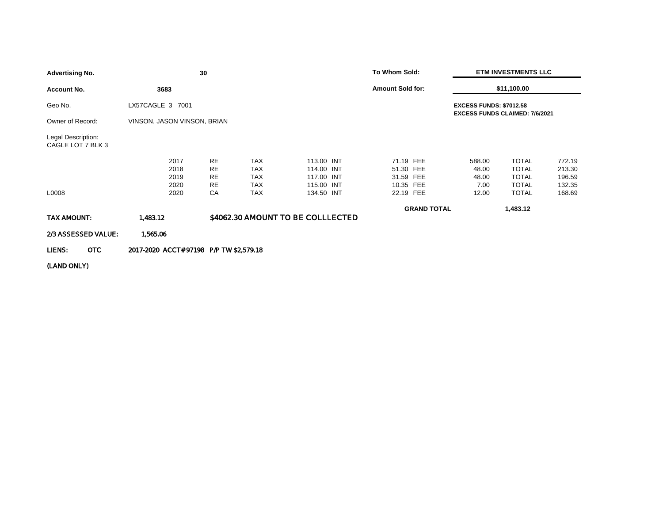| 30<br><b>Advertising No.</b>            |  |                                         |                                                  |                                                      |                                                      | To Whom Sold:                                    |                    | <b>ETM INVESTMENTS LLC</b>       |                                                              |                                      |
|-----------------------------------------|--|-----------------------------------------|--------------------------------------------------|------------------------------------------------------|------------------------------------------------------|--------------------------------------------------|--------------------|----------------------------------|--------------------------------------------------------------|--------------------------------------|
| <b>Account No.</b>                      |  | 3683                                    |                                                  |                                                      |                                                      | <b>Amount Sold for:</b>                          |                    |                                  | \$11,100.00                                                  |                                      |
| Geo No.                                 |  | LX57CAGLE 3 7001                        |                                                  |                                                      |                                                      |                                                  |                    | <b>EXCESS FUNDS: \$7012.58</b>   | <b>EXCESS FUNDS CLAIMED: 7/6/2021</b>                        |                                      |
| Owner of Record:                        |  | VINSON, JASON VINSON, BRIAN             |                                                  |                                                      |                                                      |                                                  |                    |                                  |                                                              |                                      |
| Legal Description:<br>CAGLE LOT 7 BLK 3 |  |                                         |                                                  |                                                      |                                                      |                                                  |                    |                                  |                                                              |                                      |
|                                         |  | 2017<br>2018<br>2019<br>2020            | <b>RE</b><br><b>RE</b><br><b>RE</b><br><b>RE</b> | <b>TAX</b><br><b>TAX</b><br><b>TAX</b><br><b>TAX</b> | 113.00 INT<br>114.00 INT<br>117.00 INT<br>115.00 INT | 71.19 FEE<br>51.30 FEE<br>31.59 FEE<br>10.35 FEE |                    | 588.00<br>48.00<br>48.00<br>7.00 | <b>TOTAL</b><br><b>TOTAL</b><br><b>TOTAL</b><br><b>TOTAL</b> | 772.19<br>213.30<br>196.59<br>132.35 |
| L0008                                   |  | 2020                                    | CA                                               | <b>TAX</b>                                           | 134.50 INT                                           | 22.19 FEE                                        |                    | 12.00                            | <b>TOTAL</b>                                                 | 168.69                               |
| TAX AMOUNT:                             |  | 1,483.12                                |                                                  | \$4062.30 AMOUNT TO BE COLLLECTED                    |                                                      |                                                  | <b>GRAND TOTAL</b> |                                  | 1,483.12                                                     |                                      |
| 2/3 ASSESSED VALUE:                     |  | 1,565.06                                |                                                  |                                                      |                                                      |                                                  |                    |                                  |                                                              |                                      |
| OTC<br>LIENS:                           |  | 2017-2020 ACCT# 97198 P/P TW \$2,579.18 |                                                  |                                                      |                                                      |                                                  |                    |                                  |                                                              |                                      |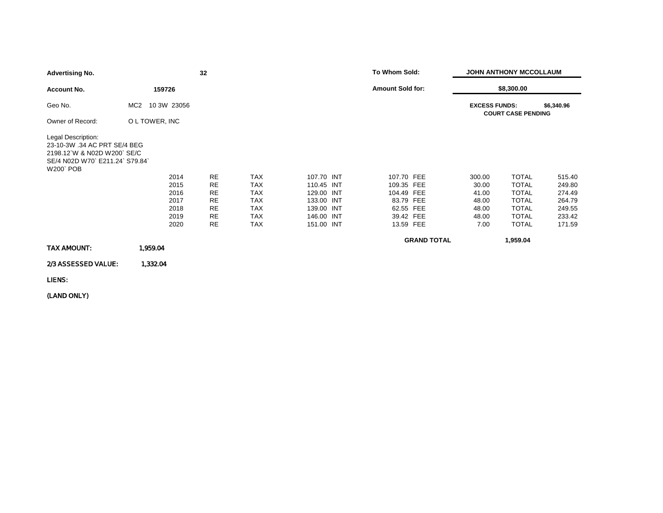| <b>Advertising No.</b>                                                                                                                 |                                | 32        |            |            | To Whom Sold:           | <b>JOHN ANTHONY MCCOLLAUM</b> |                           |            |  |
|----------------------------------------------------------------------------------------------------------------------------------------|--------------------------------|-----------|------------|------------|-------------------------|-------------------------------|---------------------------|------------|--|
| Account No.                                                                                                                            | 159726                         |           |            |            | <b>Amount Sold for:</b> |                               | \$8,300.00                |            |  |
| Geo No.                                                                                                                                | 10 3W 23056<br>MC <sub>2</sub> |           |            |            |                         | <b>EXCESS FUNDS:</b>          | <b>COURT CASE PENDING</b> | \$6,340.96 |  |
| Owner of Record:                                                                                                                       | O L TOWER, INC                 |           |            |            |                         |                               |                           |            |  |
| Legal Description:<br>23-10-3W .34 AC PRT SE/4 BEG<br>2198.12 W & N02D W200 SE/C<br>SE/4 N02D W70` E211.24` S79.84`<br><b>W200 POB</b> |                                |           |            |            |                         |                               |                           |            |  |
|                                                                                                                                        | 2014                           | <b>RE</b> | <b>TAX</b> | 107.70 INT | 107.70 FEE              | 300.00                        | <b>TOTAL</b>              | 515.40     |  |
|                                                                                                                                        | 2015                           | <b>RE</b> | <b>TAX</b> | 110.45 INT | 109.35 FEE              | 30.00                         | <b>TOTAL</b>              | 249.80     |  |
|                                                                                                                                        | 2016                           | <b>RE</b> | TAX        | 129.00 INT | 104.49 FEE              | 41.00                         | <b>TOTAL</b>              | 274.49     |  |
|                                                                                                                                        | 2017                           | <b>RE</b> | <b>TAX</b> | 133.00 INT | 83.79 FEE               | 48.00                         | <b>TOTAL</b>              | 264.79     |  |
|                                                                                                                                        | 2018                           | <b>RE</b> | <b>TAX</b> | 139.00 INT | 62.55 FEE               | 48.00                         | <b>TOTAL</b>              | 249.55     |  |
|                                                                                                                                        | 2019                           | RE        | <b>TAX</b> | 146.00 INT | 39.42 FEE               | 48.00                         | <b>TOTAL</b>              | 233.42     |  |
|                                                                                                                                        | 2020                           | <b>RE</b> | <b>TAX</b> | 151.00 INT | 13.59 FEE               | 7.00                          | <b>TOTAL</b>              | 171.59     |  |
|                                                                                                                                        |                                |           |            |            | <b>GRAND TOTAL</b>      |                               | 1,959.04                  |            |  |
| TAX AMOUNT:                                                                                                                            | 1,959.04                       |           |            |            |                         |                               |                           |            |  |
| 2/3 ASSESSED VALUE:                                                                                                                    | 1,332.04                       |           |            |            |                         |                               |                           |            |  |
| LIENS:                                                                                                                                 |                                |           |            |            |                         |                               |                           |            |  |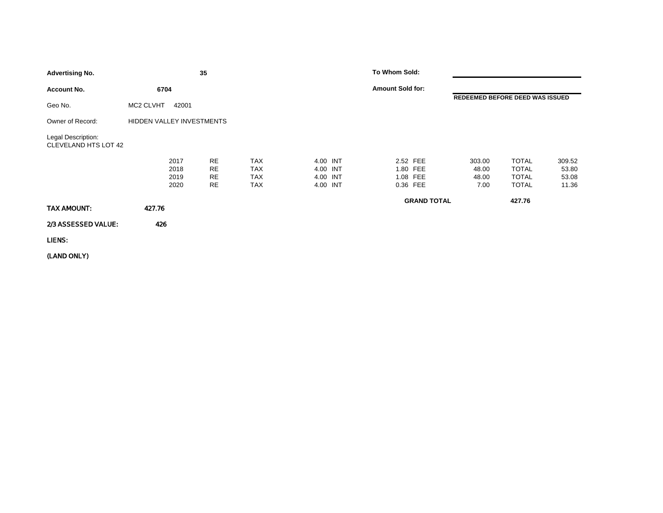| <b>Advertising No.</b>                     |                              | 35                                        |                                                      |                                              | To Whom Sold:           |                      |                                  |                                                              |                                   |
|--------------------------------------------|------------------------------|-------------------------------------------|------------------------------------------------------|----------------------------------------------|-------------------------|----------------------|----------------------------------|--------------------------------------------------------------|-----------------------------------|
| <b>Account No.</b>                         | 6704                         |                                           |                                                      |                                              | <b>Amount Sold for:</b> |                      |                                  |                                                              |                                   |
| Geo No.                                    | MC2 CLVHT<br>42001           |                                           |                                                      |                                              |                         |                      | REDEEMED BEFORE DEED WAS ISSUED  |                                                              |                                   |
| Owner of Record:                           | HIDDEN VALLEY INVESTMENTS    |                                           |                                                      |                                              |                         |                      |                                  |                                                              |                                   |
| Legal Description:<br>CLEVELAND HTS LOT 42 |                              |                                           |                                                      |                                              |                         |                      |                                  |                                                              |                                   |
|                                            | 2017<br>2018<br>2019<br>2020 | <b>RE</b><br>RE<br><b>RE</b><br><b>RE</b> | <b>TAX</b><br><b>TAX</b><br><b>TAX</b><br><b>TAX</b> | 4.00 INT<br>4.00 INT<br>4.00 INT<br>4.00 INT | 2.52 FEE<br>0.36 FEE    | 1.80 FEE<br>1.08 FEE | 303.00<br>48.00<br>48.00<br>7.00 | <b>TOTAL</b><br><b>TOTAL</b><br><b>TOTAL</b><br><b>TOTAL</b> | 309.52<br>53.80<br>53.08<br>11.36 |
| TAX AMOUNT:                                | 427.76                       |                                           |                                                      |                                              |                         | <b>GRAND TOTAL</b>   |                                  | 427.76                                                       |                                   |
| 2/3 ASSESSED VALUE:                        | 426                          |                                           |                                                      |                                              |                         |                      |                                  |                                                              |                                   |
| LIENS:                                     |                              |                                           |                                                      |                                              |                         |                      |                                  |                                                              |                                   |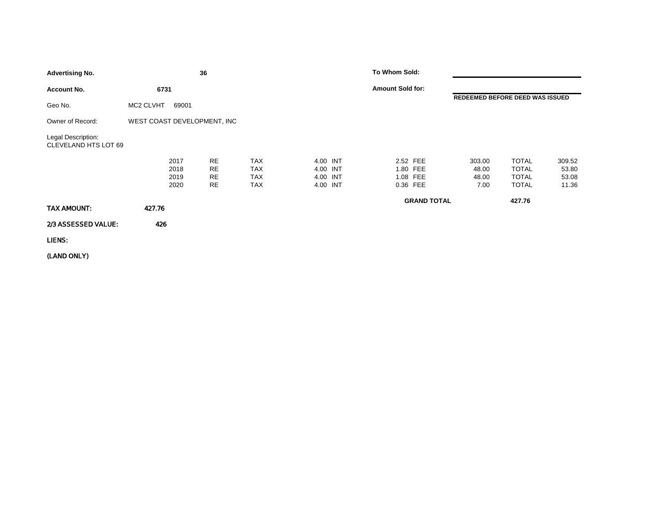| <b>Advertising No.</b>                     |                              | 36                          |                                                      |                                              | To Whom Sold:                                |                    |                                  |                                                              |                                   |
|--------------------------------------------|------------------------------|-----------------------------|------------------------------------------------------|----------------------------------------------|----------------------------------------------|--------------------|----------------------------------|--------------------------------------------------------------|-----------------------------------|
| <b>Account No.</b>                         | 6731                         |                             |                                                      |                                              | <b>Amount Sold for:</b>                      |                    |                                  |                                                              |                                   |
| Geo No.                                    | MC2 CLVHT<br>69001           |                             |                                                      |                                              |                                              |                    |                                  | REDEEMED BEFORE DEED WAS ISSUED                              |                                   |
| Owner of Record:                           | WEST COAST DEVELOPMENT, INC  |                             |                                                      |                                              |                                              |                    |                                  |                                                              |                                   |
| Legal Description:<br>CLEVELAND HTS LOT 69 |                              |                             |                                                      |                                              |                                              |                    |                                  |                                                              |                                   |
|                                            | 2017<br>2018<br>2019<br>2020 | RE<br><b>RE</b><br>RE<br>RE | <b>TAX</b><br><b>TAX</b><br><b>TAX</b><br><b>TAX</b> | 4.00 INT<br>4.00 INT<br>4.00 INT<br>4.00 INT | 2.52 FEE<br>1.80 FEE<br>1.08 FEE<br>0.36 FEE |                    | 303.00<br>48.00<br>48.00<br>7.00 | <b>TOTAL</b><br><b>TOTAL</b><br><b>TOTAL</b><br><b>TOTAL</b> | 309.52<br>53.80<br>53.08<br>11.36 |
| TAX AMOUNT:                                | 427.76                       |                             |                                                      |                                              |                                              | <b>GRAND TOTAL</b> |                                  | 427.76                                                       |                                   |
| 2/3 ASSESSED VALUE:                        | 426                          |                             |                                                      |                                              |                                              |                    |                                  |                                                              |                                   |
| LIENS:                                     |                              |                             |                                                      |                                              |                                              |                    |                                  |                                                              |                                   |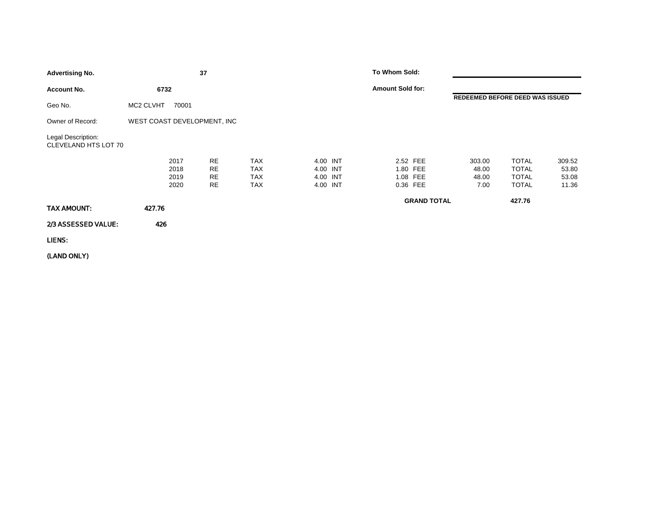| <b>Advertising No.</b>                     |                             |                              | 37                                        |                                        |                                              | To Whom Sold:                                |                    |                                  |                                                              |                                   |
|--------------------------------------------|-----------------------------|------------------------------|-------------------------------------------|----------------------------------------|----------------------------------------------|----------------------------------------------|--------------------|----------------------------------|--------------------------------------------------------------|-----------------------------------|
| <b>Account No.</b>                         | 6732                        |                              |                                           |                                        |                                              | <b>Amount Sold for:</b>                      |                    |                                  |                                                              |                                   |
| Geo No.                                    | MC2 CLVHT                   | 70001                        |                                           |                                        |                                              |                                              |                    | REDEEMED BEFORE DEED WAS ISSUED  |                                                              |                                   |
| Owner of Record:                           | WEST COAST DEVELOPMENT, INC |                              |                                           |                                        |                                              |                                              |                    |                                  |                                                              |                                   |
| Legal Description:<br>CLEVELAND HTS LOT 70 |                             |                              |                                           |                                        |                                              |                                              |                    |                                  |                                                              |                                   |
|                                            |                             | 2017<br>2018<br>2019<br>2020 | RE<br><b>RE</b><br><b>RE</b><br><b>RE</b> | TAX<br><b>TAX</b><br>TAX<br><b>TAX</b> | 4.00 INT<br>4.00 INT<br>4.00 INT<br>4.00 INT | 2.52 FEE<br>1.80 FEE<br>1.08 FEE<br>0.36 FEE |                    | 303.00<br>48.00<br>48.00<br>7.00 | <b>TOTAL</b><br><b>TOTAL</b><br><b>TOTAL</b><br><b>TOTAL</b> | 309.52<br>53.80<br>53.08<br>11.36 |
| TAX AMOUNT:                                | 427.76                      |                              |                                           |                                        |                                              |                                              | <b>GRAND TOTAL</b> |                                  | 427.76                                                       |                                   |
| 2/3 ASSESSED VALUE:                        | 426                         |                              |                                           |                                        |                                              |                                              |                    |                                  |                                                              |                                   |
| LIENS:                                     |                             |                              |                                           |                                        |                                              |                                              |                    |                                  |                                                              |                                   |
|                                            |                             |                              |                                           |                                        |                                              |                                              |                    |                                  |                                                              |                                   |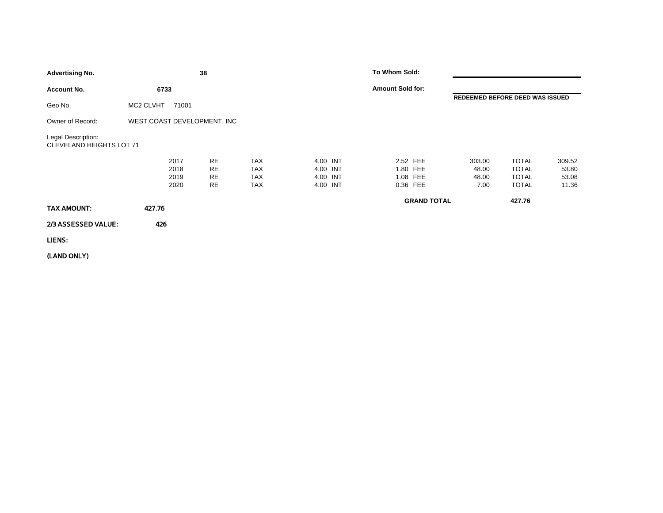| <b>Advertising No.</b>                                |                              | 38                                               |                                               |                                              | To Whom Sold:                                |                                  |                                                              |                                   |
|-------------------------------------------------------|------------------------------|--------------------------------------------------|-----------------------------------------------|----------------------------------------------|----------------------------------------------|----------------------------------|--------------------------------------------------------------|-----------------------------------|
| <b>Account No.</b>                                    | 6733                         |                                                  |                                               |                                              | <b>Amount Sold for:</b>                      |                                  |                                                              |                                   |
| Geo No.                                               | MC2 CLVHT<br>71001           |                                                  |                                               |                                              |                                              | REDEEMED BEFORE DEED WAS ISSUED  |                                                              |                                   |
| Owner of Record:                                      | WEST COAST DEVELOPMENT, INC  |                                                  |                                               |                                              |                                              |                                  |                                                              |                                   |
| Legal Description:<br><b>CLEVELAND HEIGHTS LOT 71</b> |                              |                                                  |                                               |                                              |                                              |                                  |                                                              |                                   |
|                                                       | 2017<br>2018<br>2019<br>2020 | <b>RE</b><br><b>RE</b><br><b>RE</b><br><b>RE</b> | <b>TAX</b><br><b>TAX</b><br>TAX<br><b>TAX</b> | 4.00 INT<br>4.00 INT<br>4.00 INT<br>4.00 INT | 2.52 FEE<br>1.80 FEE<br>1.08 FEE<br>0.36 FEE | 303.00<br>48.00<br>48.00<br>7.00 | <b>TOTAL</b><br><b>TOTAL</b><br><b>TOTAL</b><br><b>TOTAL</b> | 309.52<br>53.80<br>53.08<br>11.36 |
| TAX AMOUNT:                                           | 427.76                       |                                                  |                                               |                                              | <b>GRAND TOTAL</b>                           |                                  | 427.76                                                       |                                   |
| 2/3 ASSESSED VALUE:                                   | 426                          |                                                  |                                               |                                              |                                              |                                  |                                                              |                                   |
| LIENS:                                                |                              |                                                  |                                               |                                              |                                              |                                  |                                                              |                                   |
|                                                       |                              |                                                  |                                               |                                              |                                              |                                  |                                                              |                                   |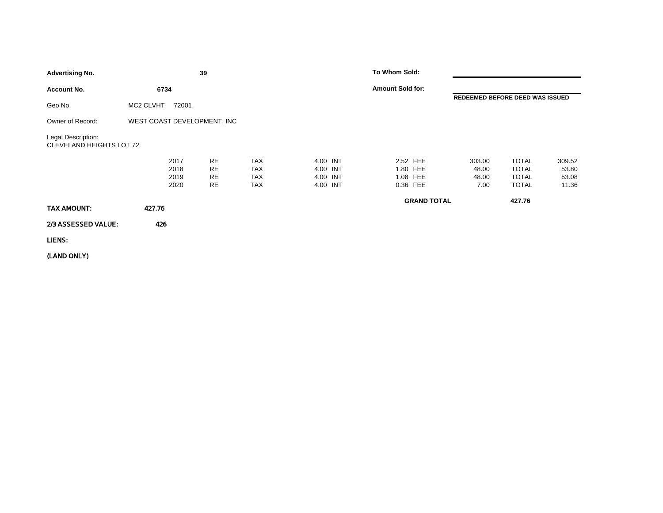| <b>Advertising No.</b>                         |                              | 39                                        |                                               |                                              | To Whom Sold:                                |                                  |                                                              |                                   |
|------------------------------------------------|------------------------------|-------------------------------------------|-----------------------------------------------|----------------------------------------------|----------------------------------------------|----------------------------------|--------------------------------------------------------------|-----------------------------------|
| <b>Account No.</b>                             | 6734                         |                                           |                                               |                                              | <b>Amount Sold for:</b>                      |                                  |                                                              |                                   |
| Geo No.                                        | MC2 CLVHT<br>72001           |                                           |                                               |                                              |                                              | REDEEMED BEFORE DEED WAS ISSUED  |                                                              |                                   |
| Owner of Record:                               | WEST COAST DEVELOPMENT, INC  |                                           |                                               |                                              |                                              |                                  |                                                              |                                   |
| Legal Description:<br>CLEVELAND HEIGHTS LOT 72 |                              |                                           |                                               |                                              |                                              |                                  |                                                              |                                   |
|                                                | 2017<br>2018<br>2019<br>2020 | RE<br><b>RE</b><br><b>RE</b><br><b>RE</b> | <b>TAX</b><br><b>TAX</b><br>TAX<br><b>TAX</b> | 4.00 INT<br>4.00 INT<br>4.00 INT<br>4.00 INT | 2.52 FEE<br>1.80 FEE<br>1.08 FEE<br>0.36 FEE | 303.00<br>48.00<br>48.00<br>7.00 | <b>TOTAL</b><br><b>TOTAL</b><br><b>TOTAL</b><br><b>TOTAL</b> | 309.52<br>53.80<br>53.08<br>11.36 |
| TAX AMOUNT:                                    | 427.76                       |                                           |                                               |                                              | <b>GRAND TOTAL</b>                           |                                  | 427.76                                                       |                                   |
| 2/3 ASSESSED VALUE:                            | 426                          |                                           |                                               |                                              |                                              |                                  |                                                              |                                   |
| LIENS:                                         |                              |                                           |                                               |                                              |                                              |                                  |                                                              |                                   |
|                                                |                              |                                           |                                               |                                              |                                              |                                  |                                                              |                                   |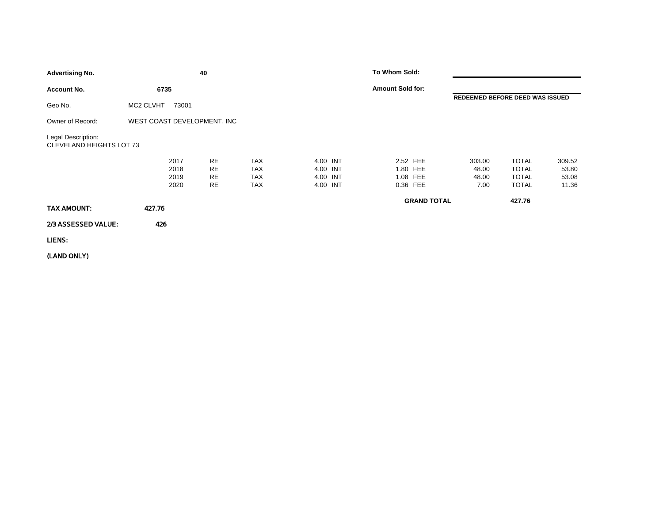| <b>Advertising No.</b>                                |                              | 40                                               |                                               |                                              | To Whom Sold:                                |                                  |                                                              |                                   |
|-------------------------------------------------------|------------------------------|--------------------------------------------------|-----------------------------------------------|----------------------------------------------|----------------------------------------------|----------------------------------|--------------------------------------------------------------|-----------------------------------|
| <b>Account No.</b>                                    | 6735                         |                                                  |                                               |                                              | <b>Amount Sold for:</b>                      |                                  |                                                              |                                   |
| Geo No.                                               | MC2 CLVHT<br>73001           |                                                  |                                               |                                              |                                              | REDEEMED BEFORE DEED WAS ISSUED  |                                                              |                                   |
| Owner of Record:                                      | WEST COAST DEVELOPMENT, INC  |                                                  |                                               |                                              |                                              |                                  |                                                              |                                   |
| Legal Description:<br><b>CLEVELAND HEIGHTS LOT 73</b> |                              |                                                  |                                               |                                              |                                              |                                  |                                                              |                                   |
|                                                       | 2017<br>2018<br>2019<br>2020 | <b>RE</b><br><b>RE</b><br><b>RE</b><br><b>RE</b> | <b>TAX</b><br><b>TAX</b><br>TAX<br><b>TAX</b> | 4.00 INT<br>4.00 INT<br>4.00 INT<br>4.00 INT | 2.52 FEE<br>1.80 FEE<br>1.08 FEE<br>0.36 FEE | 303.00<br>48.00<br>48.00<br>7.00 | <b>TOTAL</b><br><b>TOTAL</b><br><b>TOTAL</b><br><b>TOTAL</b> | 309.52<br>53.80<br>53.08<br>11.36 |
| TAX AMOUNT:                                           | 427.76                       |                                                  |                                               |                                              | <b>GRAND TOTAL</b>                           |                                  | 427.76                                                       |                                   |
| 2/3 ASSESSED VALUE:                                   | 426                          |                                                  |                                               |                                              |                                              |                                  |                                                              |                                   |
| LIENS:                                                |                              |                                                  |                                               |                                              |                                              |                                  |                                                              |                                   |
|                                                       |                              |                                                  |                                               |                                              |                                              |                                  |                                                              |                                   |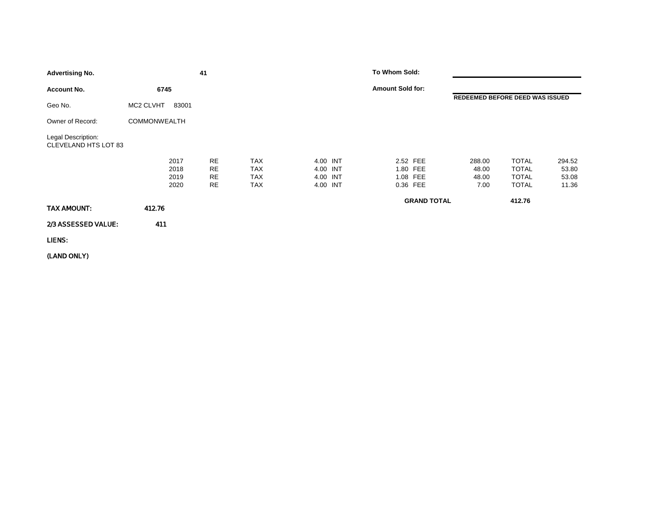| <b>Advertising No.</b>                            |                              | 41                                               |                                               |                                              | To Whom Sold:                                |                                  |                                                              |                                   |
|---------------------------------------------------|------------------------------|--------------------------------------------------|-----------------------------------------------|----------------------------------------------|----------------------------------------------|----------------------------------|--------------------------------------------------------------|-----------------------------------|
| <b>Account No.</b>                                | 6745                         |                                                  |                                               |                                              | <b>Amount Sold for:</b>                      |                                  |                                                              |                                   |
| Geo No.                                           | MC2 CLVHT<br>83001           |                                                  |                                               |                                              |                                              | REDEEMED BEFORE DEED WAS ISSUED  |                                                              |                                   |
| Owner of Record:                                  | <b>COMMONWEALTH</b>          |                                                  |                                               |                                              |                                              |                                  |                                                              |                                   |
| Legal Description:<br><b>CLEVELAND HTS LOT 83</b> |                              |                                                  |                                               |                                              |                                              |                                  |                                                              |                                   |
|                                                   | 2017<br>2018<br>2019<br>2020 | <b>RE</b><br><b>RE</b><br><b>RE</b><br><b>RE</b> | <b>TAX</b><br><b>TAX</b><br><b>TAX</b><br>TAX | 4.00 INT<br>4.00 INT<br>4.00 INT<br>4.00 INT | 2.52 FEE<br>1.80 FEE<br>1.08 FEE<br>0.36 FEE | 288.00<br>48.00<br>48.00<br>7.00 | <b>TOTAL</b><br><b>TOTAL</b><br><b>TOTAL</b><br><b>TOTAL</b> | 294.52<br>53.80<br>53.08<br>11.36 |
| TAX AMOUNT:                                       | 412.76                       |                                                  |                                               |                                              | <b>GRAND TOTAL</b>                           |                                  | 412.76                                                       |                                   |
| 2/3 ASSESSED VALUE:                               | 411                          |                                                  |                                               |                                              |                                              |                                  |                                                              |                                   |
| LIENS:                                            |                              |                                                  |                                               |                                              |                                              |                                  |                                                              |                                   |
|                                                   |                              |                                                  |                                               |                                              |                                              |                                  |                                                              |                                   |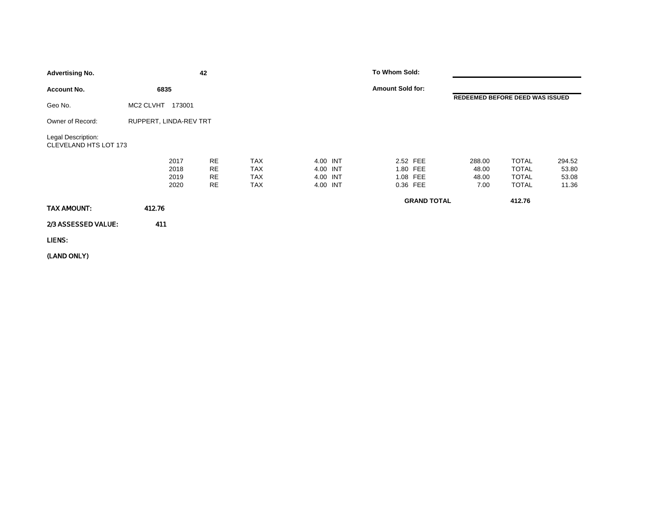| <b>Advertising No.</b>                      |                              | 42                                        |                                               |                                              | To Whom Sold:                                |                                  |                                                              |                                   |
|---------------------------------------------|------------------------------|-------------------------------------------|-----------------------------------------------|----------------------------------------------|----------------------------------------------|----------------------------------|--------------------------------------------------------------|-----------------------------------|
| <b>Account No.</b>                          | 6835                         |                                           |                                               |                                              | <b>Amount Sold for:</b>                      |                                  |                                                              |                                   |
| Geo No.                                     | MC2 CLVHT<br>173001          |                                           |                                               |                                              |                                              | REDEEMED BEFORE DEED WAS ISSUED  |                                                              |                                   |
| Owner of Record:                            | RUPPERT, LINDA-REV TRT       |                                           |                                               |                                              |                                              |                                  |                                                              |                                   |
| Legal Description:<br>CLEVELAND HTS LOT 173 |                              |                                           |                                               |                                              |                                              |                                  |                                                              |                                   |
|                                             | 2017<br>2018<br>2019<br>2020 | <b>RE</b><br><b>RE</b><br>RE<br><b>RE</b> | <b>TAX</b><br><b>TAX</b><br><b>TAX</b><br>TAX | 4.00 INT<br>4.00 INT<br>4.00 INT<br>4.00 INT | 2.52 FEE<br>1.80 FEE<br>1.08 FEE<br>0.36 FEE | 288.00<br>48.00<br>48.00<br>7.00 | <b>TOTAL</b><br><b>TOTAL</b><br><b>TOTAL</b><br><b>TOTAL</b> | 294.52<br>53.80<br>53.08<br>11.36 |
| TAX AMOUNT:                                 | 412.76                       |                                           |                                               |                                              | <b>GRAND TOTAL</b>                           |                                  | 412.76                                                       |                                   |
| 2/3 ASSESSED VALUE:                         | 411                          |                                           |                                               |                                              |                                              |                                  |                                                              |                                   |
| LIENS:                                      |                              |                                           |                                               |                                              |                                              |                                  |                                                              |                                   |
|                                             |                              |                                           |                                               |                                              |                                              |                                  |                                                              |                                   |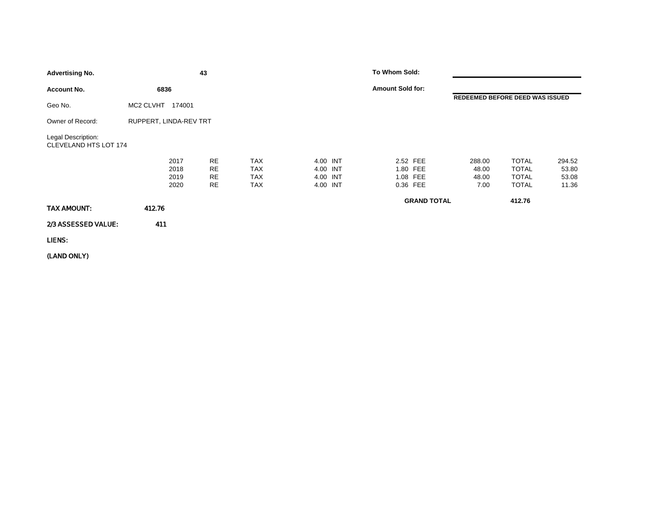| <b>Advertising No.</b>                      |                              | 43                                               |                                                      |                                              | To Whom Sold:                                |                                  |                                                              |                                   |
|---------------------------------------------|------------------------------|--------------------------------------------------|------------------------------------------------------|----------------------------------------------|----------------------------------------------|----------------------------------|--------------------------------------------------------------|-----------------------------------|
| <b>Account No.</b>                          | 6836                         |                                                  |                                                      |                                              | <b>Amount Sold for:</b>                      |                                  |                                                              |                                   |
| Geo No.                                     | MC2 CLVHT 174001             |                                                  |                                                      |                                              |                                              | REDEEMED BEFORE DEED WAS ISSUED  |                                                              |                                   |
| Owner of Record:                            | RUPPERT, LINDA-REV TRT       |                                                  |                                                      |                                              |                                              |                                  |                                                              |                                   |
| Legal Description:<br>CLEVELAND HTS LOT 174 |                              |                                                  |                                                      |                                              |                                              |                                  |                                                              |                                   |
|                                             | 2017<br>2018<br>2019<br>2020 | <b>RE</b><br><b>RE</b><br><b>RE</b><br><b>RE</b> | <b>TAX</b><br><b>TAX</b><br><b>TAX</b><br><b>TAX</b> | 4.00 INT<br>4.00 INT<br>4.00 INT<br>4.00 INT | 2.52 FEE<br>1.80 FEE<br>1.08 FEE<br>0.36 FEE | 288.00<br>48.00<br>48.00<br>7.00 | <b>TOTAL</b><br><b>TOTAL</b><br><b>TOTAL</b><br><b>TOTAL</b> | 294.52<br>53.80<br>53.08<br>11.36 |
| TAX AMOUNT:                                 | 412.76                       |                                                  |                                                      |                                              | <b>GRAND TOTAL</b>                           |                                  | 412.76                                                       |                                   |
| 2/3 ASSESSED VALUE:                         | 411                          |                                                  |                                                      |                                              |                                              |                                  |                                                              |                                   |
| LIENS:                                      |                              |                                                  |                                                      |                                              |                                              |                                  |                                                              |                                   |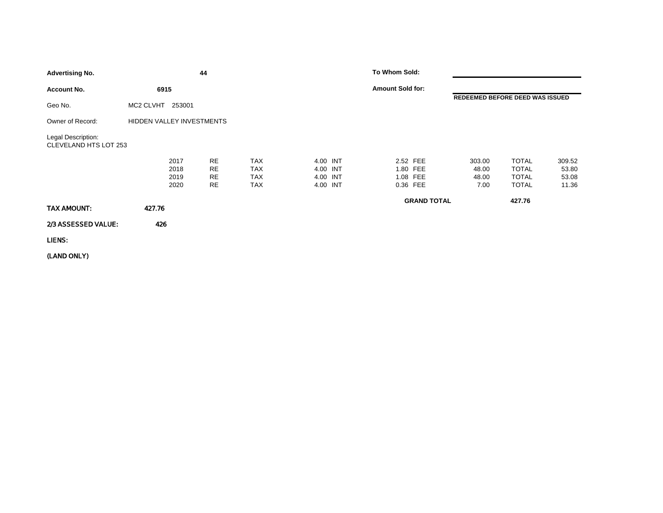| <b>Advertising No.</b>                      |                              | 44                                               |                                               |                                              | To Whom Sold:                                |                    |                                  |                                                              |                                   |
|---------------------------------------------|------------------------------|--------------------------------------------------|-----------------------------------------------|----------------------------------------------|----------------------------------------------|--------------------|----------------------------------|--------------------------------------------------------------|-----------------------------------|
| <b>Account No.</b>                          | 6915                         |                                                  |                                               |                                              | <b>Amount Sold for:</b>                      |                    |                                  |                                                              |                                   |
| Geo No.                                     | MC2 CLVHT 253001             |                                                  |                                               |                                              |                                              |                    | REDEEMED BEFORE DEED WAS ISSUED  |                                                              |                                   |
| Owner of Record:                            | HIDDEN VALLEY INVESTMENTS    |                                                  |                                               |                                              |                                              |                    |                                  |                                                              |                                   |
| Legal Description:<br>CLEVELAND HTS LOT 253 |                              |                                                  |                                               |                                              |                                              |                    |                                  |                                                              |                                   |
|                                             | 2017<br>2018<br>2019<br>2020 | <b>RE</b><br><b>RE</b><br><b>RE</b><br><b>RE</b> | <b>TAX</b><br>TAX<br><b>TAX</b><br><b>TAX</b> | 4.00 INT<br>4.00 INT<br>4.00 INT<br>4.00 INT | 2.52 FEE<br>1.80 FEE<br>1.08 FEE<br>0.36 FEE |                    | 303.00<br>48.00<br>48.00<br>7.00 | <b>TOTAL</b><br><b>TOTAL</b><br><b>TOTAL</b><br><b>TOTAL</b> | 309.52<br>53.80<br>53.08<br>11.36 |
| TAX AMOUNT:                                 | 427.76                       |                                                  |                                               |                                              |                                              | <b>GRAND TOTAL</b> |                                  | 427.76                                                       |                                   |
| 2/3 ASSESSED VALUE:                         | 426                          |                                                  |                                               |                                              |                                              |                    |                                  |                                                              |                                   |
| LIENS:                                      |                              |                                                  |                                               |                                              |                                              |                    |                                  |                                                              |                                   |
|                                             |                              |                                                  |                                               |                                              |                                              |                    |                                  |                                                              |                                   |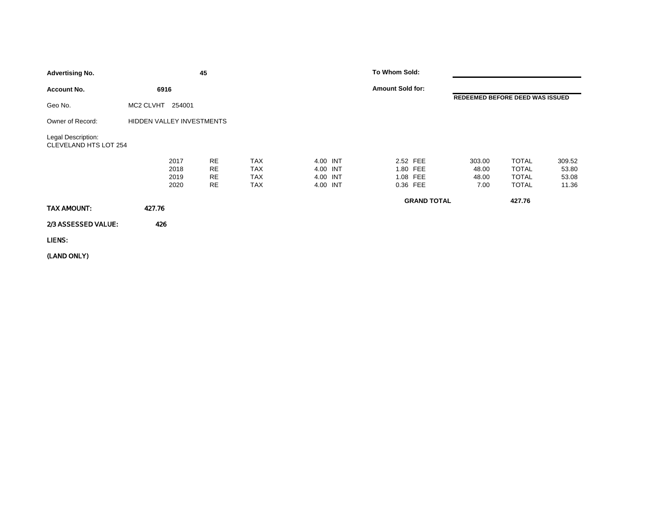| <b>Advertising No.</b>                      |                              | 45                                               |                                               |                                              | To Whom Sold:           |                                              |                                  |                                                              |                                   |
|---------------------------------------------|------------------------------|--------------------------------------------------|-----------------------------------------------|----------------------------------------------|-------------------------|----------------------------------------------|----------------------------------|--------------------------------------------------------------|-----------------------------------|
| <b>Account No.</b>                          | 6916                         |                                                  |                                               |                                              | <b>Amount Sold for:</b> |                                              |                                  |                                                              |                                   |
| Geo No.                                     | MC2 CLVHT 254001             |                                                  |                                               |                                              |                         |                                              | REDEEMED BEFORE DEED WAS ISSUED  |                                                              |                                   |
| Owner of Record:                            | HIDDEN VALLEY INVESTMENTS    |                                                  |                                               |                                              |                         |                                              |                                  |                                                              |                                   |
| Legal Description:<br>CLEVELAND HTS LOT 254 |                              |                                                  |                                               |                                              |                         |                                              |                                  |                                                              |                                   |
|                                             | 2017<br>2018<br>2019<br>2020 | <b>RE</b><br><b>RE</b><br><b>RE</b><br><b>RE</b> | <b>TAX</b><br>TAX<br><b>TAX</b><br><b>TAX</b> | 4.00 INT<br>4.00 INT<br>4.00 INT<br>4.00 INT |                         | 2.52 FEE<br>1.80 FEE<br>1.08 FEE<br>0.36 FEE | 303.00<br>48.00<br>48.00<br>7.00 | <b>TOTAL</b><br><b>TOTAL</b><br><b>TOTAL</b><br><b>TOTAL</b> | 309.52<br>53.80<br>53.08<br>11.36 |
| TAX AMOUNT:                                 | 427.76                       |                                                  |                                               |                                              |                         | <b>GRAND TOTAL</b>                           |                                  | 427.76                                                       |                                   |
| 2/3 ASSESSED VALUE:                         | 426                          |                                                  |                                               |                                              |                         |                                              |                                  |                                                              |                                   |
| LIENS:                                      |                              |                                                  |                                               |                                              |                         |                                              |                                  |                                                              |                                   |
|                                             |                              |                                                  |                                               |                                              |                         |                                              |                                  |                                                              |                                   |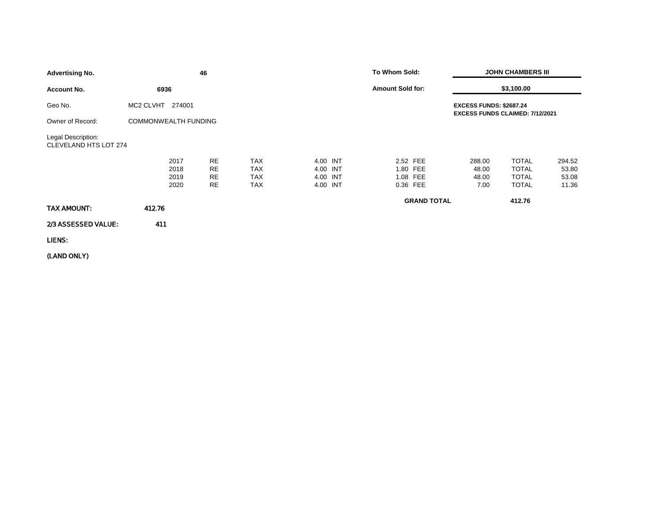| <b>Advertising No.</b>                      |                              | 46                                 |                                                      |                                              | To Whom Sold:                                |                    |                                                                          | <b>JOHN CHAMBERS III</b>                                     |                                   |  |
|---------------------------------------------|------------------------------|------------------------------------|------------------------------------------------------|----------------------------------------------|----------------------------------------------|--------------------|--------------------------------------------------------------------------|--------------------------------------------------------------|-----------------------------------|--|
| <b>Account No.</b>                          | 6936                         |                                    |                                                      |                                              | <b>Amount Sold for:</b>                      |                    |                                                                          | \$3,100.00                                                   |                                   |  |
| Geo No.                                     | MC2 CLVHT<br>274001          |                                    |                                                      |                                              |                                              |                    | <b>EXCESS FUNDS: \$2687.24</b><br><b>EXCESS FUNDS CLAIMED: 7/12/2021</b> |                                                              |                                   |  |
| Owner of Record:                            | <b>COMMONWEALTH FUNDING</b>  |                                    |                                                      |                                              |                                              |                    |                                                                          |                                                              |                                   |  |
| Legal Description:<br>CLEVELAND HTS LOT 274 |                              |                                    |                                                      |                                              |                                              |                    |                                                                          |                                                              |                                   |  |
|                                             | 2017<br>2018<br>2019<br>2020 | RE<br><b>RE</b><br>RE<br><b>RE</b> | <b>TAX</b><br><b>TAX</b><br><b>TAX</b><br><b>TAX</b> | 4.00 INT<br>4.00 INT<br>4.00 INT<br>4.00 INT | 2.52 FEE<br>1.80 FEE<br>1.08 FEE<br>0.36 FEE |                    | 288.00<br>48.00<br>48.00<br>7.00                                         | <b>TOTAL</b><br><b>TOTAL</b><br><b>TOTAL</b><br><b>TOTAL</b> | 294.52<br>53.80<br>53.08<br>11.36 |  |
| TAX AMOUNT:                                 | 412.76                       |                                    |                                                      |                                              |                                              | <b>GRAND TOTAL</b> |                                                                          | 412.76                                                       |                                   |  |
| 2/3 ASSESSED VALUE:                         | 411                          |                                    |                                                      |                                              |                                              |                    |                                                                          |                                                              |                                   |  |
| LIENS:                                      |                              |                                    |                                                      |                                              |                                              |                    |                                                                          |                                                              |                                   |  |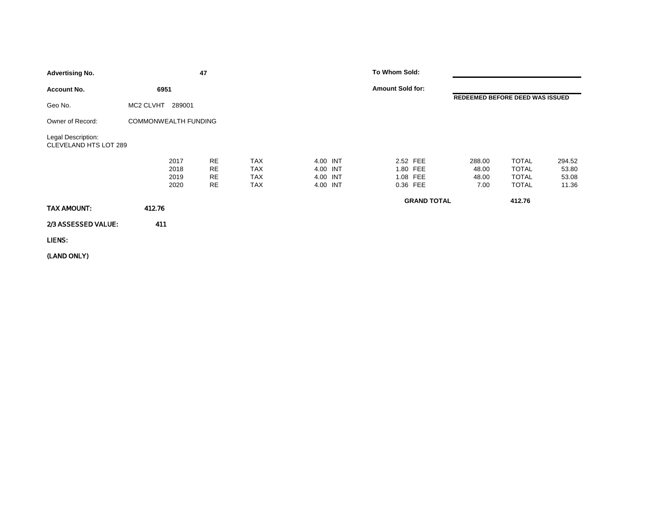| <b>Advertising No.</b>                      |                              | 47                                        |                                        |                                              | To Whom Sold:                                |                                  |                                                              |                                   |
|---------------------------------------------|------------------------------|-------------------------------------------|----------------------------------------|----------------------------------------------|----------------------------------------------|----------------------------------|--------------------------------------------------------------|-----------------------------------|
| <b>Account No.</b>                          | 6951                         |                                           |                                        |                                              | <b>Amount Sold for:</b>                      |                                  |                                                              |                                   |
| Geo No.                                     | MC2 CLVHT<br>289001          |                                           |                                        |                                              |                                              | REDEEMED BEFORE DEED WAS ISSUED  |                                                              |                                   |
| Owner of Record:                            | <b>COMMONWEALTH FUNDING</b>  |                                           |                                        |                                              |                                              |                                  |                                                              |                                   |
| Legal Description:<br>CLEVELAND HTS LOT 289 |                              |                                           |                                        |                                              |                                              |                                  |                                                              |                                   |
|                                             | 2017<br>2018<br>2019<br>2020 | <b>RE</b><br><b>RE</b><br><b>RE</b><br>RE | <b>TAX</b><br>TAX<br>TAX<br><b>TAX</b> | 4.00 INT<br>4.00 INT<br>4.00 INT<br>4.00 INT | 2.52 FEE<br>1.80 FEE<br>1.08 FEE<br>0.36 FEE | 288.00<br>48.00<br>48.00<br>7.00 | <b>TOTAL</b><br><b>TOTAL</b><br><b>TOTAL</b><br><b>TOTAL</b> | 294.52<br>53.80<br>53.08<br>11.36 |
| TAX AMOUNT:                                 | 412.76                       |                                           |                                        |                                              | <b>GRAND TOTAL</b>                           |                                  | 412.76                                                       |                                   |
| 2/3 ASSESSED VALUE:                         | 411                          |                                           |                                        |                                              |                                              |                                  |                                                              |                                   |
| LIENS:                                      |                              |                                           |                                        |                                              |                                              |                                  |                                                              |                                   |
|                                             |                              |                                           |                                        |                                              |                                              |                                  |                                                              |                                   |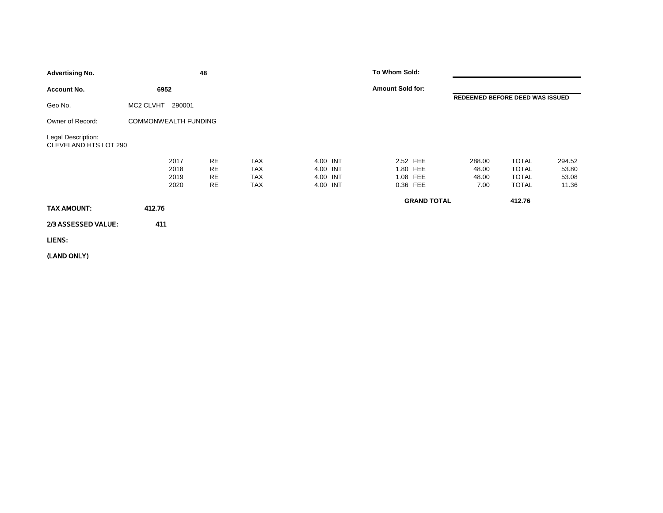| <b>Advertising No.</b>                      |                              | 48                                               |                                               |                                              | To Whom Sold:                                |                                  |                                                              |                                   |
|---------------------------------------------|------------------------------|--------------------------------------------------|-----------------------------------------------|----------------------------------------------|----------------------------------------------|----------------------------------|--------------------------------------------------------------|-----------------------------------|
| <b>Account No.</b>                          | 6952                         |                                                  |                                               |                                              | <b>Amount Sold for:</b>                      |                                  |                                                              |                                   |
| Geo No.                                     | MC2 CLVHT<br>290001          |                                                  |                                               |                                              |                                              |                                  | REDEEMED BEFORE DEED WAS ISSUED                              |                                   |
| Owner of Record:                            | <b>COMMONWEALTH FUNDING</b>  |                                                  |                                               |                                              |                                              |                                  |                                                              |                                   |
| Legal Description:<br>CLEVELAND HTS LOT 290 |                              |                                                  |                                               |                                              |                                              |                                  |                                                              |                                   |
|                                             | 2017<br>2018<br>2019<br>2020 | <b>RE</b><br><b>RE</b><br><b>RE</b><br><b>RE</b> | <b>TAX</b><br><b>TAX</b><br>TAX<br><b>TAX</b> | 4.00 INT<br>4.00 INT<br>4.00 INT<br>4.00 INT | 2.52 FEE<br>1.80 FEE<br>1.08 FEE<br>0.36 FEE | 288.00<br>48.00<br>48.00<br>7.00 | <b>TOTAL</b><br><b>TOTAL</b><br><b>TOTAL</b><br><b>TOTAL</b> | 294.52<br>53.80<br>53.08<br>11.36 |
| TAX AMOUNT:                                 | 412.76                       |                                                  |                                               |                                              | <b>GRAND TOTAL</b>                           |                                  | 412.76                                                       |                                   |
| 2/3 ASSESSED VALUE:                         | 411                          |                                                  |                                               |                                              |                                              |                                  |                                                              |                                   |
| LIENS:                                      |                              |                                                  |                                               |                                              |                                              |                                  |                                                              |                                   |
|                                             |                              |                                                  |                                               |                                              |                                              |                                  |                                                              |                                   |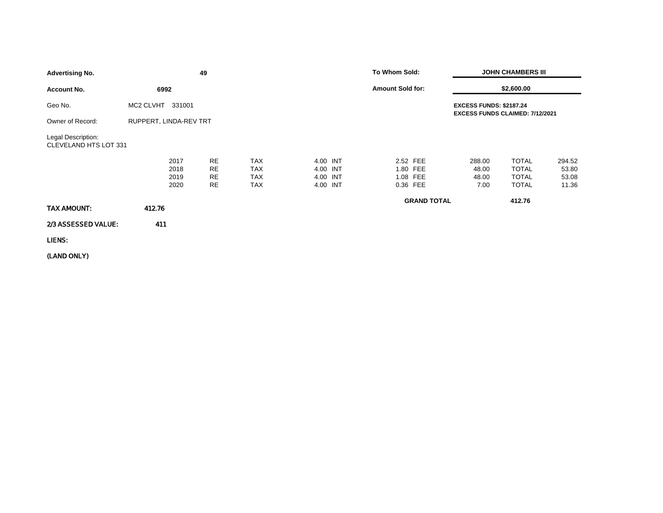| \$2,600.00<br><b>Amount Sold for:</b><br><b>Account No.</b><br>6992                                                                                                                                                                                                                                                                   |                                   |
|---------------------------------------------------------------------------------------------------------------------------------------------------------------------------------------------------------------------------------------------------------------------------------------------------------------------------------------|-----------------------------------|
|                                                                                                                                                                                                                                                                                                                                       |                                   |
| MC2 CLVHT<br>Geo No.<br>331001<br><b>EXCESS FUNDS: \$2187.24</b><br>EXCESS FUNDS CLAIMED: 7/12/2021                                                                                                                                                                                                                                   |                                   |
| RUPPERT, LINDA-REV TRT<br>Owner of Record:                                                                                                                                                                                                                                                                                            |                                   |
| Legal Description:<br>CLEVELAND HTS LOT 331                                                                                                                                                                                                                                                                                           |                                   |
| <b>RE</b><br><b>TAX</b><br>4.00 INT<br>2.52 FEE<br><b>TOTAL</b><br>2017<br>288.00<br><b>RE</b><br><b>TAX</b><br><b>TOTAL</b><br>2018<br>4.00 INT<br>1.80 FEE<br>48.00<br><b>RE</b><br><b>TAX</b><br>4.00 INT<br>1.08 FEE<br><b>TOTAL</b><br>2019<br>48.00<br>RE<br><b>TAX</b><br>4.00 INT<br>0.36 FEE<br>2020<br><b>TOTAL</b><br>7.00 | 294.52<br>53.80<br>53.08<br>11.36 |
| <b>GRAND TOTAL</b><br>412.76<br>412.76<br>TAX AMOUNT:                                                                                                                                                                                                                                                                                 |                                   |
| 2/3 ASSESSED VALUE:<br>411                                                                                                                                                                                                                                                                                                            |                                   |
| LIENS:                                                                                                                                                                                                                                                                                                                                |                                   |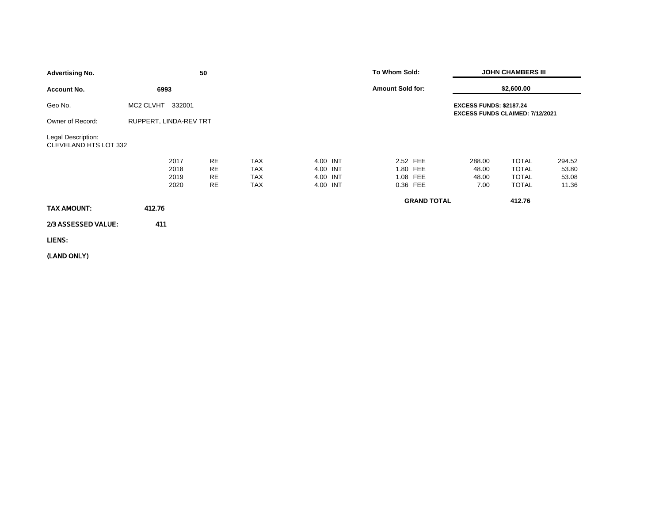| <b>Advertising No.</b>                      |                              | 50                                        |                                                      |                                              | To Whom Sold:                                |                                  | <b>JOHN CHAMBERS III</b>                                     |                                   |
|---------------------------------------------|------------------------------|-------------------------------------------|------------------------------------------------------|----------------------------------------------|----------------------------------------------|----------------------------------|--------------------------------------------------------------|-----------------------------------|
| <b>Account No.</b>                          | 6993                         |                                           |                                                      |                                              | <b>Amount Sold for:</b>                      |                                  | \$2,600.00                                                   |                                   |
| Geo No.                                     | MC2 CLVHT<br>332001          |                                           |                                                      |                                              |                                              | <b>EXCESS FUNDS: \$2187.24</b>   | EXCESS FUNDS CLAIMED: 7/12/2021                              |                                   |
| Owner of Record:                            | RUPPERT, LINDA-REV TRT       |                                           |                                                      |                                              |                                              |                                  |                                                              |                                   |
| Legal Description:<br>CLEVELAND HTS LOT 332 |                              |                                           |                                                      |                                              |                                              |                                  |                                                              |                                   |
|                                             | 2017<br>2018<br>2019<br>2020 | <b>RE</b><br><b>RE</b><br><b>RE</b><br>RE | <b>TAX</b><br><b>TAX</b><br><b>TAX</b><br><b>TAX</b> | 4.00 INT<br>4.00 INT<br>4.00 INT<br>4.00 INT | 2.52 FEE<br>1.80 FEE<br>1.08 FEE<br>0.36 FEE | 288.00<br>48.00<br>48.00<br>7.00 | <b>TOTAL</b><br><b>TOTAL</b><br><b>TOTAL</b><br><b>TOTAL</b> | 294.52<br>53.80<br>53.08<br>11.36 |
| TAX AMOUNT:                                 | 412.76                       |                                           |                                                      |                                              | <b>GRAND TOTAL</b>                           |                                  | 412.76                                                       |                                   |
| 2/3 ASSESSED VALUE:                         | 411                          |                                           |                                                      |                                              |                                              |                                  |                                                              |                                   |
| LIENS:                                      |                              |                                           |                                                      |                                              |                                              |                                  |                                                              |                                   |
|                                             |                              |                                           |                                                      |                                              |                                              |                                  |                                                              |                                   |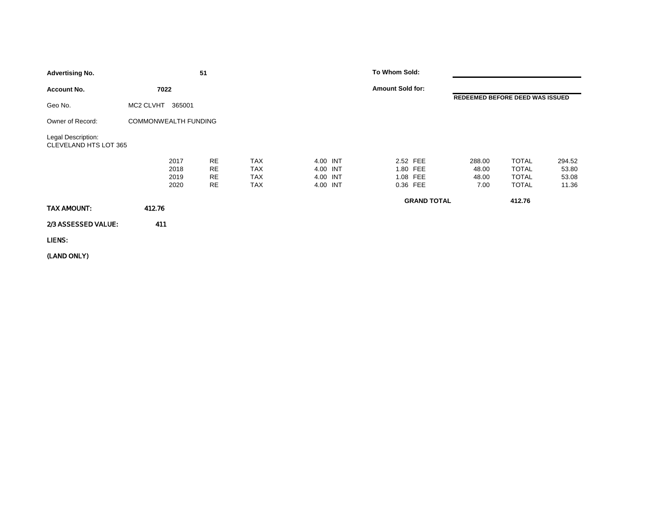| <b>Advertising No.</b>                      |                              | 51                                               |                                 |                                              | To Whom Sold:                                |                                  |                                                              |                                   |
|---------------------------------------------|------------------------------|--------------------------------------------------|---------------------------------|----------------------------------------------|----------------------------------------------|----------------------------------|--------------------------------------------------------------|-----------------------------------|
| <b>Account No.</b>                          | 7022                         |                                                  |                                 |                                              | <b>Amount Sold for:</b>                      |                                  |                                                              |                                   |
| Geo No.                                     | MC2 CLVHT<br>365001          |                                                  |                                 |                                              |                                              |                                  | REDEEMED BEFORE DEED WAS ISSUED                              |                                   |
| Owner of Record:                            | <b>COMMONWEALTH FUNDING</b>  |                                                  |                                 |                                              |                                              |                                  |                                                              |                                   |
| Legal Description:<br>CLEVELAND HTS LOT 365 |                              |                                                  |                                 |                                              |                                              |                                  |                                                              |                                   |
|                                             | 2017<br>2018<br>2019<br>2020 | <b>RE</b><br><b>RE</b><br><b>RE</b><br><b>RE</b> | <b>TAX</b><br>TAX<br>TAX<br>TAX | 4.00 INT<br>4.00 INT<br>4.00 INT<br>4.00 INT | 2.52 FEE<br>1.80 FEE<br>1.08 FEE<br>0.36 FEE | 288.00<br>48.00<br>48.00<br>7.00 | <b>TOTAL</b><br><b>TOTAL</b><br><b>TOTAL</b><br><b>TOTAL</b> | 294.52<br>53.80<br>53.08<br>11.36 |
| TAX AMOUNT:                                 | 412.76                       |                                                  |                                 |                                              |                                              | <b>GRAND TOTAL</b>               | 412.76                                                       |                                   |
| 2/3 ASSESSED VALUE:                         | 411                          |                                                  |                                 |                                              |                                              |                                  |                                                              |                                   |
| LIENS:                                      |                              |                                                  |                                 |                                              |                                              |                                  |                                                              |                                   |
|                                             |                              |                                                  |                                 |                                              |                                              |                                  |                                                              |                                   |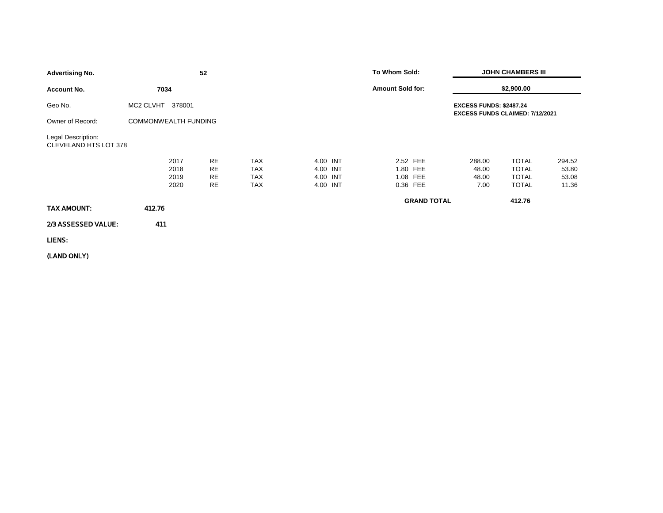| <b>Advertising No.</b>                      |                              | 52                                 |                                                      |                                              | To Whom Sold:                                |                    |                                                                          | <b>JOHN CHAMBERS III</b>                                     |                                   |
|---------------------------------------------|------------------------------|------------------------------------|------------------------------------------------------|----------------------------------------------|----------------------------------------------|--------------------|--------------------------------------------------------------------------|--------------------------------------------------------------|-----------------------------------|
| <b>Account No.</b>                          | 7034                         |                                    |                                                      |                                              | <b>Amount Sold for:</b>                      |                    |                                                                          | \$2,900.00                                                   |                                   |
| Geo No.                                     | MC2 CLVHT<br>378001          |                                    |                                                      |                                              |                                              |                    | <b>EXCESS FUNDS: \$2487.24</b><br><b>EXCESS FUNDS CLAIMED: 7/12/2021</b> |                                                              |                                   |
| Owner of Record:                            | COMMONWEALTH FUNDING         |                                    |                                                      |                                              |                                              |                    |                                                                          |                                                              |                                   |
| Legal Description:<br>CLEVELAND HTS LOT 378 |                              |                                    |                                                      |                                              |                                              |                    |                                                                          |                                                              |                                   |
|                                             | 2017<br>2018<br>2019<br>2020 | RE<br><b>RE</b><br>RE<br><b>RE</b> | <b>TAX</b><br><b>TAX</b><br><b>TAX</b><br><b>TAX</b> | 4.00 INT<br>4.00 INT<br>4.00 INT<br>4.00 INT | 2.52 FEE<br>1.80 FEE<br>1.08 FEE<br>0.36 FEE |                    | 288.00<br>48.00<br>48.00<br>7.00                                         | <b>TOTAL</b><br><b>TOTAL</b><br><b>TOTAL</b><br><b>TOTAL</b> | 294.52<br>53.80<br>53.08<br>11.36 |
| TAX AMOUNT:                                 | 412.76                       |                                    |                                                      |                                              |                                              | <b>GRAND TOTAL</b> |                                                                          | 412.76                                                       |                                   |
| 2/3 ASSESSED VALUE:                         | 411                          |                                    |                                                      |                                              |                                              |                    |                                                                          |                                                              |                                   |
| LIENS:                                      |                              |                                    |                                                      |                                              |                                              |                    |                                                                          |                                                              |                                   |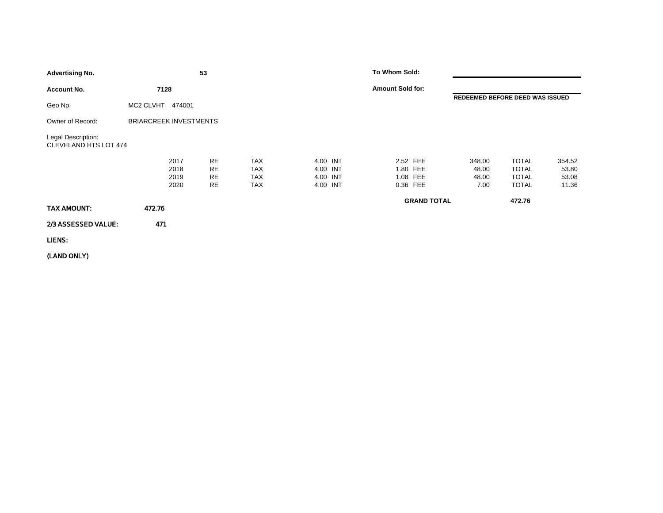| <b>Advertising No.</b>                      |                               | 53                                 |                                                      |                                              | To Whom Sold:                                |                                  |                                                              |                                   |
|---------------------------------------------|-------------------------------|------------------------------------|------------------------------------------------------|----------------------------------------------|----------------------------------------------|----------------------------------|--------------------------------------------------------------|-----------------------------------|
| <b>Account No.</b>                          | 7128                          |                                    |                                                      |                                              | <b>Amount Sold for:</b>                      |                                  |                                                              |                                   |
| Geo No.                                     | MC2 CLVHT<br>474001           |                                    |                                                      |                                              |                                              | REDEEMED BEFORE DEED WAS ISSUED  |                                                              |                                   |
| Owner of Record:                            | <b>BRIARCREEK INVESTMENTS</b> |                                    |                                                      |                                              |                                              |                                  |                                                              |                                   |
| Legal Description:<br>CLEVELAND HTS LOT 474 |                               |                                    |                                                      |                                              |                                              |                                  |                                                              |                                   |
|                                             | 2017<br>2018<br>2019<br>2020  | RE<br><b>RE</b><br><b>RE</b><br>RE | <b>TAX</b><br><b>TAX</b><br><b>TAX</b><br><b>TAX</b> | 4.00 INT<br>4.00 INT<br>4.00 INT<br>4.00 INT | 2.52 FEE<br>1.80 FEE<br>1.08 FEE<br>0.36 FEE | 348.00<br>48.00<br>48.00<br>7.00 | <b>TOTAL</b><br><b>TOTAL</b><br><b>TOTAL</b><br><b>TOTAL</b> | 354.52<br>53.80<br>53.08<br>11.36 |
| TAX AMOUNT:                                 | 472.76                        |                                    |                                                      |                                              | <b>GRAND TOTAL</b>                           |                                  | 472.76                                                       |                                   |
| 2/3 ASSESSED VALUE:                         | 471                           |                                    |                                                      |                                              |                                              |                                  |                                                              |                                   |
| LIENS:                                      |                               |                                    |                                                      |                                              |                                              |                                  |                                                              |                                   |
|                                             |                               |                                    |                                                      |                                              |                                              |                                  |                                                              |                                   |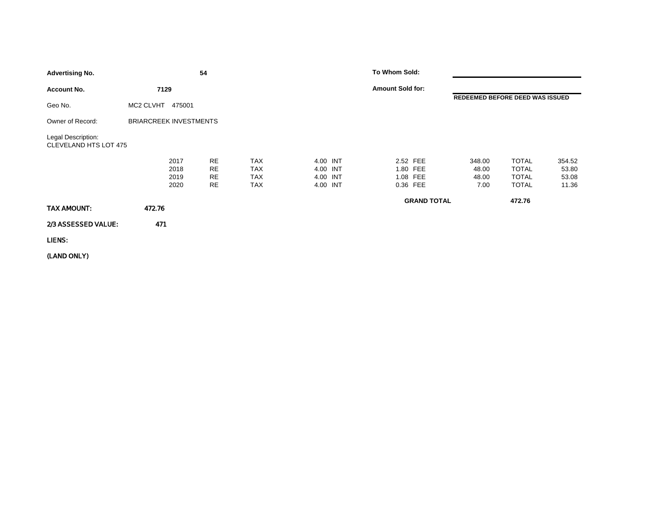| <b>Advertising No.</b>                      |                               | 54                                 |                                                      |                                              | To Whom Sold:                                |                                  |                                                              |                                   |
|---------------------------------------------|-------------------------------|------------------------------------|------------------------------------------------------|----------------------------------------------|----------------------------------------------|----------------------------------|--------------------------------------------------------------|-----------------------------------|
| <b>Account No.</b>                          | 7129                          |                                    |                                                      |                                              | <b>Amount Sold for:</b>                      |                                  |                                                              |                                   |
| Geo No.                                     | MC2 CLVHT<br>475001           |                                    |                                                      |                                              |                                              | REDEEMED BEFORE DEED WAS ISSUED  |                                                              |                                   |
| Owner of Record:                            | <b>BRIARCREEK INVESTMENTS</b> |                                    |                                                      |                                              |                                              |                                  |                                                              |                                   |
| Legal Description:<br>CLEVELAND HTS LOT 475 |                               |                                    |                                                      |                                              |                                              |                                  |                                                              |                                   |
|                                             | 2017<br>2018<br>2019<br>2020  | RE<br><b>RE</b><br><b>RE</b><br>RE | <b>TAX</b><br><b>TAX</b><br><b>TAX</b><br><b>TAX</b> | 4.00 INT<br>4.00 INT<br>4.00 INT<br>4.00 INT | 2.52 FEE<br>1.80 FEE<br>1.08 FEE<br>0.36 FEE | 348.00<br>48.00<br>48.00<br>7.00 | <b>TOTAL</b><br><b>TOTAL</b><br><b>TOTAL</b><br><b>TOTAL</b> | 354.52<br>53.80<br>53.08<br>11.36 |
| TAX AMOUNT:                                 | 472.76                        |                                    |                                                      |                                              | <b>GRAND TOTAL</b>                           |                                  | 472.76                                                       |                                   |
| 2/3 ASSESSED VALUE:                         | 471                           |                                    |                                                      |                                              |                                              |                                  |                                                              |                                   |
| LIENS:                                      |                               |                                    |                                                      |                                              |                                              |                                  |                                                              |                                   |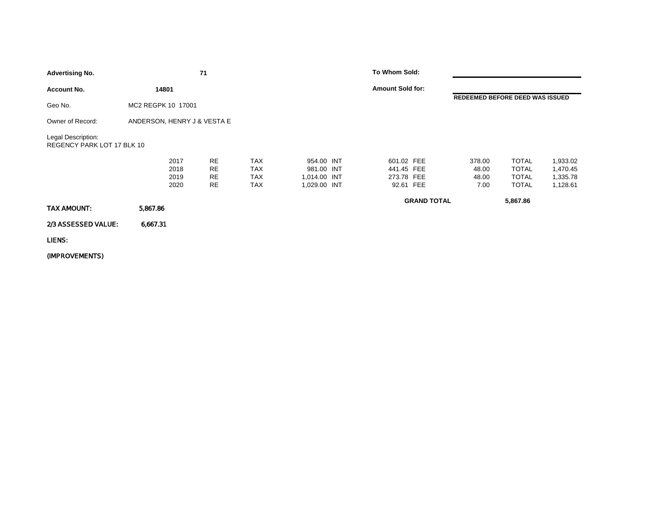| <b>Advertising No.</b>                           |                             |                              | 71                                        |                                               |                                                          | To Whom Sold:                                       |                    |                                  |                                                              |                                              |
|--------------------------------------------------|-----------------------------|------------------------------|-------------------------------------------|-----------------------------------------------|----------------------------------------------------------|-----------------------------------------------------|--------------------|----------------------------------|--------------------------------------------------------------|----------------------------------------------|
| <b>Account No.</b>                               | 14801                       |                              |                                           |                                               |                                                          | <b>Amount Sold for:</b>                             |                    |                                  |                                                              |                                              |
| Geo No.                                          | MC2 REGPK 10 17001          |                              |                                           |                                               |                                                          |                                                     |                    | REDEEMED BEFORE DEED WAS ISSUED  |                                                              |                                              |
| Owner of Record:                                 | ANDERSON, HENRY J & VESTA E |                              |                                           |                                               |                                                          |                                                     |                    |                                  |                                                              |                                              |
| Legal Description:<br>REGENCY PARK LOT 17 BLK 10 |                             |                              |                                           |                                               |                                                          |                                                     |                    |                                  |                                                              |                                              |
|                                                  |                             | 2017<br>2018<br>2019<br>2020 | <b>RE</b><br><b>RE</b><br><b>RE</b><br>RE | <b>TAX</b><br><b>TAX</b><br><b>TAX</b><br>TAX | 954.00 INT<br>981.00 INT<br>1,014.00 INT<br>1,029.00 INT | 601.02 FEE<br>441.45 FEE<br>273.78 FEE<br>92.61 FEE |                    | 378.00<br>48.00<br>48.00<br>7.00 | <b>TOTAL</b><br><b>TOTAL</b><br><b>TOTAL</b><br><b>TOTAL</b> | 1,933.02<br>1,470.45<br>1,335.78<br>1,128.61 |
| TAX AMOUNT:                                      | 5,867.86                    |                              |                                           |                                               |                                                          |                                                     | <b>GRAND TOTAL</b> |                                  | 5,867.86                                                     |                                              |
| 2/3 ASSESSED VALUE:                              | 6,667.31                    |                              |                                           |                                               |                                                          |                                                     |                    |                                  |                                                              |                                              |
| LIENS:                                           |                             |                              |                                           |                                               |                                                          |                                                     |                    |                                  |                                                              |                                              |
|                                                  |                             |                              |                                           |                                               |                                                          |                                                     |                    |                                  |                                                              |                                              |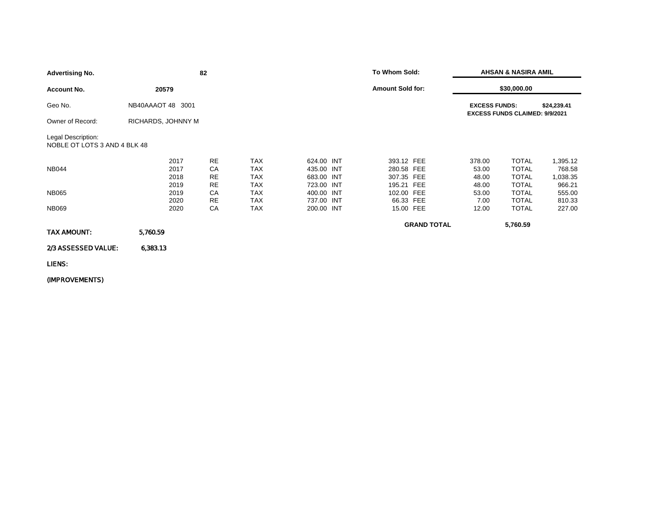| <b>Advertising No.</b>                             |                    |      | 82        |            |            | To Whom Sold: |                         | <b>AHSAN &amp; NASIRA AMIL</b> |                      |                                       |             |
|----------------------------------------------------|--------------------|------|-----------|------------|------------|---------------|-------------------------|--------------------------------|----------------------|---------------------------------------|-------------|
| <b>Account No.</b>                                 | 20579              |      |           |            |            |               | <b>Amount Sold for:</b> |                                |                      | \$30,000.00                           |             |
| Geo No.                                            | NB40AAAOT 48 3001  |      |           |            |            |               |                         |                                | <b>EXCESS FUNDS:</b> | <b>EXCESS FUNDS CLAIMED: 9/9/2021</b> | \$24,239.41 |
| Owner of Record:                                   | RICHARDS, JOHNNY M |      |           |            |            |               |                         |                                |                      |                                       |             |
| Legal Description:<br>NOBLE OT LOTS 3 AND 4 BLK 48 |                    |      |           |            |            |               |                         |                                |                      |                                       |             |
|                                                    |                    | 2017 | <b>RE</b> | <b>TAX</b> | 624.00 INT |               | 393.12 FEE              |                                | 378.00               | <b>TOTAL</b>                          | 1,395.12    |
| <b>NB044</b>                                       |                    | 2017 | CA        | <b>TAX</b> | 435.00 INT |               | 280.58 FEE              |                                | 53.00                | <b>TOTAL</b>                          | 768.58      |
|                                                    |                    | 2018 | <b>RE</b> | <b>TAX</b> | 683.00 INT |               | 307.35 FEE              |                                | 48.00                | <b>TOTAL</b>                          | 1,038.35    |
|                                                    |                    | 2019 | <b>RE</b> | <b>TAX</b> | 723.00 INT |               | 195.21 FEE              |                                | 48.00                | <b>TOTAL</b>                          | 966.21      |
| <b>NB065</b>                                       |                    | 2019 | СA        | <b>TAX</b> | 400.00 INT |               | 102.00 FEE              |                                | 53.00                | <b>TOTAL</b>                          | 555.00      |
|                                                    |                    | 2020 | <b>RE</b> | TAX        | 737.00 INT |               | 66.33 FEE               |                                | 7.00                 | <b>TOTAL</b>                          | 810.33      |
| <b>NB069</b>                                       |                    | 2020 | СA        | <b>TAX</b> | 200.00 INT |               | 15.00 FEE               |                                | 12.00                | <b>TOTAL</b>                          | 227.00      |
| <b>TAX AMOUNT:</b>                                 | 5,760.59           |      |           |            |            |               |                         | <b>GRAND TOTAL</b>             |                      | 5,760.59                              |             |
|                                                    |                    |      |           |            |            |               |                         |                                |                      |                                       |             |
| 2/3 ASSESSED VALUE:                                | 6,383.13           |      |           |            |            |               |                         |                                |                      |                                       |             |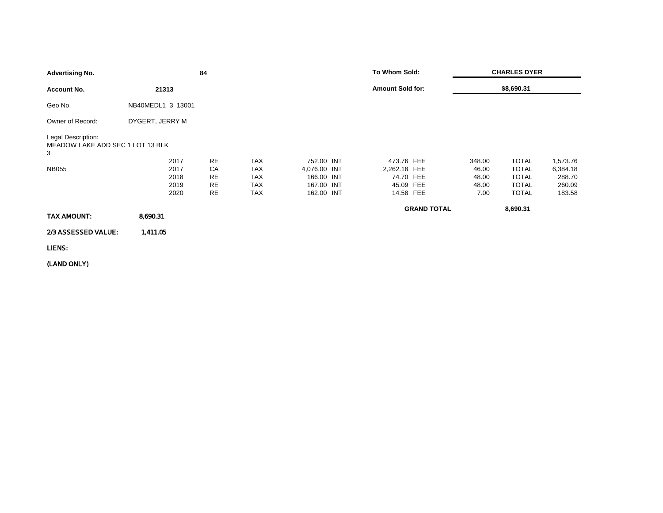| <b>Advertising No.</b>                                      |                   | 84        |            |              | To Whom Sold:           |                    |        | <b>CHARLES DYER</b> |          |
|-------------------------------------------------------------|-------------------|-----------|------------|--------------|-------------------------|--------------------|--------|---------------------|----------|
| <b>Account No.</b>                                          | 21313             |           |            |              | <b>Amount Sold for:</b> |                    |        | \$8,690.31          |          |
| Geo No.                                                     | NB40MEDL1 3 13001 |           |            |              |                         |                    |        |                     |          |
| Owner of Record:                                            | DYGERT, JERRY M   |           |            |              |                         |                    |        |                     |          |
| Legal Description:<br>MEADOW LAKE ADD SEC 1 LOT 13 BLK<br>3 |                   |           |            |              |                         |                    |        |                     |          |
|                                                             | 2017              | <b>RE</b> | <b>TAX</b> | 752.00 INT   | 473.76 FEE              |                    | 348.00 | <b>TOTAL</b>        | 1,573.76 |
| <b>NB055</b>                                                | 2017              | CA        | TAX        | 4,076.00 INT | 2,262.18 FEE            |                    | 46.00  | <b>TOTAL</b>        | 6,384.18 |
|                                                             | 2018              | RE        | <b>TAX</b> | 166.00 INT   | 74.70 FEE               |                    | 48.00  | <b>TOTAL</b>        | 288.70   |
|                                                             | 2019              | RE        | TAX        | 167.00 INT   | 45.09 FEE               |                    | 48.00  | <b>TOTAL</b>        | 260.09   |
|                                                             | 2020              | <b>RE</b> | <b>TAX</b> | 162.00 INT   | 14.58 FEE               |                    | 7.00   | <b>TOTAL</b>        | 183.58   |
|                                                             |                   |           |            |              |                         | <b>GRAND TOTAL</b> |        | 8,690.31            |          |
| TAX AMOUNT:                                                 | 8,690.31          |           |            |              |                         |                    |        |                     |          |
| 2/3 ASSESSED VALUE:                                         | 1,411.05          |           |            |              |                         |                    |        |                     |          |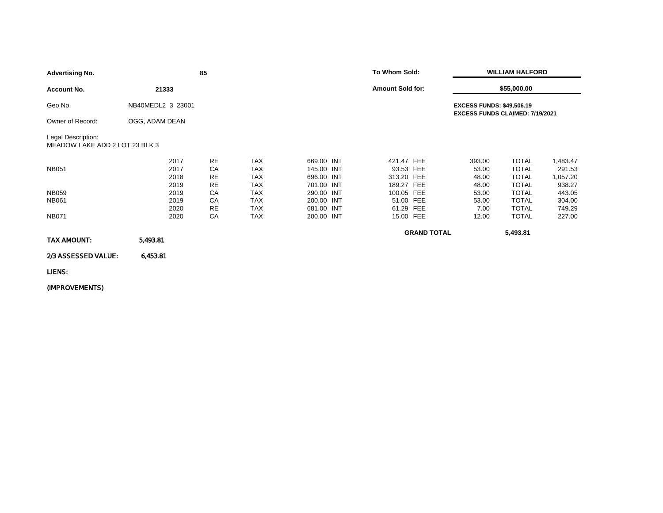| <b>Advertising No.</b>                               |                      | 85                           |                                        |                                        |  |                                       | To Whom Sold:<br><b>WILLIAM HALFORD</b> |                                                                     |                                              |                                |
|------------------------------------------------------|----------------------|------------------------------|----------------------------------------|----------------------------------------|--|---------------------------------------|-----------------------------------------|---------------------------------------------------------------------|----------------------------------------------|--------------------------------|
| <b>Account No.</b>                                   | 21333                |                              |                                        |                                        |  | <b>Amount Sold for:</b>               |                                         |                                                                     | \$55,000.00                                  |                                |
| Geo No.                                              | NB40MEDL2 3 23001    |                              |                                        |                                        |  |                                       |                                         | <b>EXCESS FUNDS: \$49,506.19</b><br>EXCESS FUNDS CLAIMED: 7/19/2021 |                                              |                                |
| Owner of Record:                                     | OGG, ADAM DEAN       |                              |                                        |                                        |  |                                       |                                         |                                                                     |                                              |                                |
| Legal Description:<br>MEADOW LAKE ADD 2 LOT 23 BLK 3 |                      |                              |                                        |                                        |  |                                       |                                         |                                                                     |                                              |                                |
| <b>NB051</b>                                         | 2017<br>2017<br>2018 | <b>RE</b><br>CA<br><b>RE</b> | <b>TAX</b><br><b>TAX</b><br><b>TAX</b> | 669.00 INT<br>145.00 INT<br>696.00 INT |  | 421.47 FEE<br>93.53 FEE<br>313.20 FEE |                                         | 393.00<br>53.00<br>48.00                                            | <b>TOTAL</b><br><b>TOTAL</b><br><b>TOTAL</b> | 1,483.47<br>291.53<br>1,057.20 |
| <b>NB059</b><br><b>NB061</b>                         | 2019<br>2019<br>2019 | RE<br>СA<br>CA               | <b>TAX</b><br><b>TAX</b><br><b>TAX</b> | 701.00 INT<br>290.00 INT<br>200.00 INT |  | 189.27 FEE<br>100.05 FEE<br>51.00 FEE |                                         | 48.00<br>53.00<br>53.00                                             | <b>TOTAL</b><br><b>TOTAL</b><br><b>TOTAL</b> | 938.27<br>443.05<br>304.00     |
| <b>NB071</b>                                         | 2020<br>2020         | RE<br>СA                     | <b>TAX</b><br><b>TAX</b>               | 681.00 INT<br>200.00 INT               |  | 61.29 FEE<br>15.00 FEE                |                                         | 7.00<br>12.00                                                       | <b>TOTAL</b><br><b>TOTAL</b>                 | 749.29<br>227.00               |
| TAX AMOUNT:                                          | 5,493.81             |                              |                                        |                                        |  |                                       | <b>GRAND TOTAL</b>                      |                                                                     | 5,493.81                                     |                                |
| 2/3 ASSESSED VALUE:                                  | 6,453.81             |                              |                                        |                                        |  |                                       |                                         |                                                                     |                                              |                                |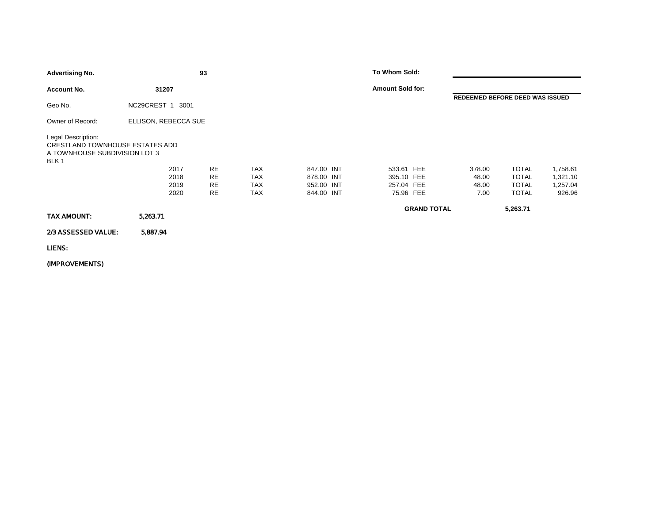| <b>Advertising No.</b>                                                                          |                      | 93        |            |            | To Whom Sold:           |                    |        |                                 |          |
|-------------------------------------------------------------------------------------------------|----------------------|-----------|------------|------------|-------------------------|--------------------|--------|---------------------------------|----------|
| <b>Account No.</b>                                                                              | 31207                |           |            |            | <b>Amount Sold for:</b> |                    |        |                                 |          |
| Geo No.                                                                                         | NC29CREST 1<br>3001  |           |            |            |                         |                    |        | REDEEMED BEFORE DEED WAS ISSUED |          |
| Owner of Record:                                                                                | ELLISON, REBECCA SUE |           |            |            |                         |                    |        |                                 |          |
| Legal Description:<br>CRESTLAND TOWNHOUSE ESTATES ADD<br>A TOWNHOUSE SUBDIVISION LOT 3<br>BLK 1 |                      |           |            |            |                         |                    |        |                                 |          |
|                                                                                                 | 2017                 | <b>RE</b> | <b>TAX</b> | 847.00 INT | 533.61 FEE              |                    | 378.00 | <b>TOTAL</b>                    | 1,758.61 |
|                                                                                                 | 2018                 | RE        | <b>TAX</b> | 878.00 INT | 395.10 FEE              |                    | 48.00  | <b>TOTAL</b>                    | 1,321.10 |
|                                                                                                 | 2019                 | RE        | TAX        | 952.00 INT | 257.04 FEE              |                    | 48.00  | <b>TOTAL</b>                    | 1,257.04 |
|                                                                                                 | 2020                 | <b>RE</b> | TAX        | 844.00 INT | 75.96 FEE               |                    | 7.00   | <b>TOTAL</b>                    | 926.96   |
|                                                                                                 |                      |           |            |            |                         | <b>GRAND TOTAL</b> |        | 5,263.71                        |          |
| TAX AMOUNT:                                                                                     | 5,263.71             |           |            |            |                         |                    |        |                                 |          |
| 2/3 ASSESSED VALUE:                                                                             | 5,887.94             |           |            |            |                         |                    |        |                                 |          |
| LIENS:                                                                                          |                      |           |            |            |                         |                    |        |                                 |          |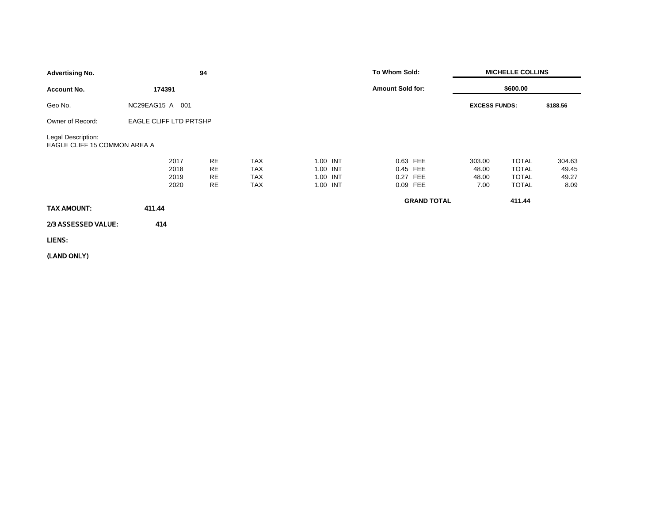| <b>Advertising No.</b>                             |                              | 94                          |                                                      |                                              | To Whom Sold:                                |                                  | <b>MICHELLE COLLINS</b>                                      |                                  |
|----------------------------------------------------|------------------------------|-----------------------------|------------------------------------------------------|----------------------------------------------|----------------------------------------------|----------------------------------|--------------------------------------------------------------|----------------------------------|
| <b>Account No.</b>                                 | 174391                       |                             |                                                      |                                              | <b>Amount Sold for:</b>                      |                                  | \$600.00                                                     |                                  |
| Geo No.                                            | NC29EAG15 A 001              |                             |                                                      |                                              |                                              | <b>EXCESS FUNDS:</b>             |                                                              | \$188.56                         |
| Owner of Record:                                   | EAGLE CLIFF LTD PRTSHP       |                             |                                                      |                                              |                                              |                                  |                                                              |                                  |
| Legal Description:<br>EAGLE CLIFF 15 COMMON AREA A |                              |                             |                                                      |                                              |                                              |                                  |                                                              |                                  |
|                                                    | 2017<br>2018<br>2019<br>2020 | <b>RE</b><br>RE<br>RE<br>RE | <b>TAX</b><br><b>TAX</b><br><b>TAX</b><br><b>TAX</b> | 1.00 INT<br>1.00 INT<br>1.00 INT<br>1.00 INT | 0.63 FEE<br>0.45 FEE<br>0.27 FEE<br>0.09 FEE | 303.00<br>48.00<br>48.00<br>7.00 | <b>TOTAL</b><br><b>TOTAL</b><br><b>TOTAL</b><br><b>TOTAL</b> | 304.63<br>49.45<br>49.27<br>8.09 |
| TAX AMOUNT:                                        | 411.44                       |                             |                                                      |                                              | <b>GRAND TOTAL</b>                           |                                  | 411.44                                                       |                                  |
| 2/3 ASSESSED VALUE:                                | 414                          |                             |                                                      |                                              |                                              |                                  |                                                              |                                  |
| LIENS:                                             |                              |                             |                                                      |                                              |                                              |                                  |                                                              |                                  |
|                                                    |                              |                             |                                                      |                                              |                                              |                                  |                                                              |                                  |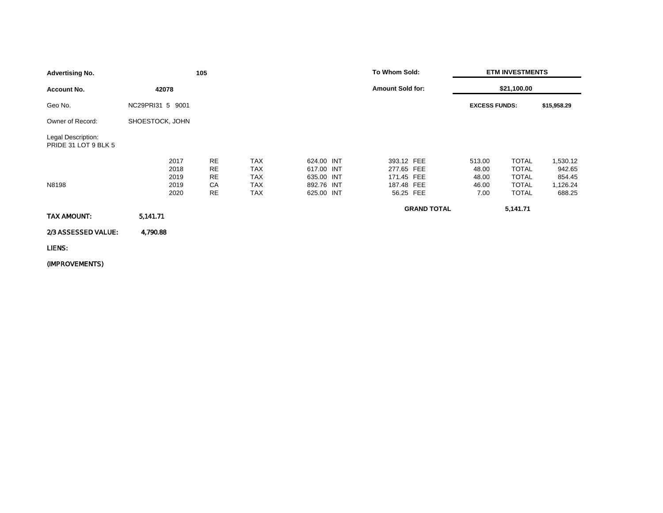| <b>Advertising No.</b>                     |                                      | 105                                      |                                                                    |                                                                    | To Whom Sold:                                                     |                                           | <b>ETM INVESTMENTS</b>                                                       |                                                    |
|--------------------------------------------|--------------------------------------|------------------------------------------|--------------------------------------------------------------------|--------------------------------------------------------------------|-------------------------------------------------------------------|-------------------------------------------|------------------------------------------------------------------------------|----------------------------------------------------|
| <b>Account No.</b>                         | 42078                                |                                          |                                                                    |                                                                    | <b>Amount Sold for:</b>                                           |                                           | \$21,100.00                                                                  |                                                    |
| Geo No.                                    | NC29PRI31 5 9001                     |                                          |                                                                    |                                                                    |                                                                   | <b>EXCESS FUNDS:</b>                      |                                                                              | \$15,958.29                                        |
| Owner of Record:                           | SHOESTOCK, JOHN                      |                                          |                                                                    |                                                                    |                                                                   |                                           |                                                                              |                                                    |
| Legal Description:<br>PRIDE 31 LOT 9 BLK 5 |                                      |                                          |                                                                    |                                                                    |                                                                   |                                           |                                                                              |                                                    |
| N8198                                      | 2017<br>2018<br>2019<br>2019<br>2020 | <b>RE</b><br><b>RE</b><br>RE<br>CA<br>RE | <b>TAX</b><br><b>TAX</b><br><b>TAX</b><br><b>TAX</b><br><b>TAX</b> | 624.00 INT<br>617.00 INT<br>635.00 INT<br>892.76 INT<br>625.00 INT | 393.12 FEE<br>277.65 FEE<br>171.45 FEE<br>187.48 FEE<br>56.25 FEE | 513.00<br>48.00<br>48.00<br>46.00<br>7.00 | <b>TOTAL</b><br><b>TOTAL</b><br><b>TOTAL</b><br><b>TOTAL</b><br><b>TOTAL</b> | 1,530.12<br>942.65<br>854.45<br>1,126.24<br>688.25 |
| TAX AMOUNT:                                | 5,141.71                             |                                          |                                                                    |                                                                    | <b>GRAND TOTAL</b>                                                |                                           | 5,141.71                                                                     |                                                    |
| 2/3 ASSESSED VALUE:                        | 4,790.88                             |                                          |                                                                    |                                                                    |                                                                   |                                           |                                                                              |                                                    |
| LIENS:                                     |                                      |                                          |                                                                    |                                                                    |                                                                   |                                           |                                                                              |                                                    |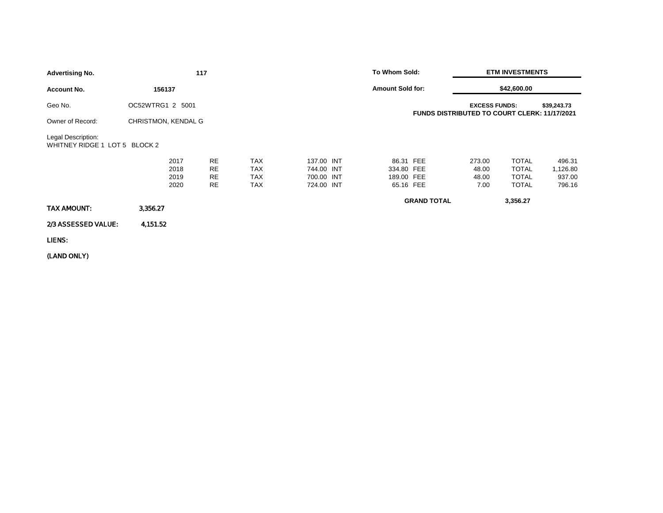| <b>Advertising No.</b>                              |                     |                              | 117                                       |                                                      |                                                      | To Whom Sold:            |                        | <b>ETM INVESTMENTS</b>                                                      |                                                              |                                        |
|-----------------------------------------------------|---------------------|------------------------------|-------------------------------------------|------------------------------------------------------|------------------------------------------------------|--------------------------|------------------------|-----------------------------------------------------------------------------|--------------------------------------------------------------|----------------------------------------|
| <b>Account No.</b>                                  | 156137              |                              |                                           |                                                      |                                                      | <b>Amount Sold for:</b>  |                        |                                                                             | \$42,600.00                                                  |                                        |
| Geo No.                                             | OC52WTRG1 2 5001    |                              |                                           |                                                      |                                                      |                          |                        | <b>EXCESS FUNDS:</b><br><b>FUNDS DISTRIBUTED TO COURT CLERK: 11/17/2021</b> |                                                              | \$39,243.73                            |
| Owner of Record:                                    | CHRISTMON, KENDAL G |                              |                                           |                                                      |                                                      |                          |                        |                                                                             |                                                              |                                        |
| Legal Description:<br>WHITNEY RIDGE 1 LOT 5 BLOCK 2 |                     |                              |                                           |                                                      |                                                      |                          |                        |                                                                             |                                                              |                                        |
|                                                     |                     | 2017<br>2018<br>2019<br>2020 | <b>RE</b><br><b>RE</b><br>RE<br><b>RE</b> | <b>TAX</b><br><b>TAX</b><br><b>TAX</b><br><b>TAX</b> | 137.00 INT<br>744.00 INT<br>700.00 INT<br>724.00 INT | 334.80 FEE<br>189.00 FEE | 86.31 FEE<br>65.16 FEE | 273.00<br>48.00<br>48.00<br>7.00                                            | <b>TOTAL</b><br><b>TOTAL</b><br><b>TOTAL</b><br><b>TOTAL</b> | 496.31<br>1,126.80<br>937.00<br>796.16 |
| TAX AMOUNT:                                         | 3,356.27            |                              |                                           |                                                      |                                                      |                          | <b>GRAND TOTAL</b>     |                                                                             | 3,356.27                                                     |                                        |
| 2/3 ASSESSED VALUE:                                 | 4,151.52            |                              |                                           |                                                      |                                                      |                          |                        |                                                                             |                                                              |                                        |
| LIENS:                                              |                     |                              |                                           |                                                      |                                                      |                          |                        |                                                                             |                                                              |                                        |
|                                                     |                     |                              |                                           |                                                      |                                                      |                          |                        |                                                                             |                                                              |                                        |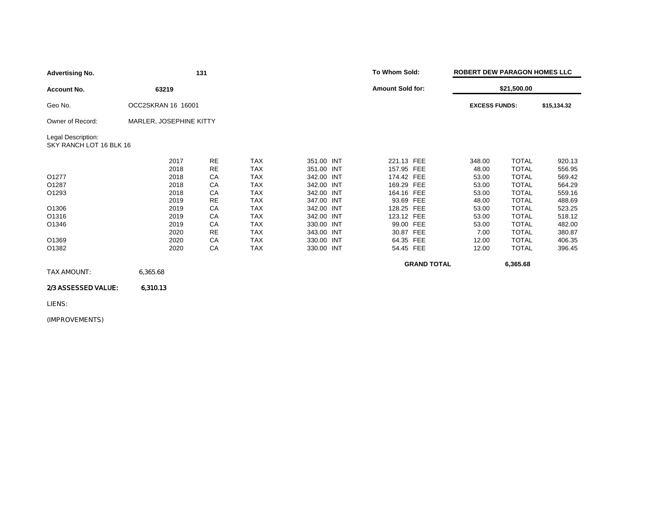| <b>Advertising No.</b>                        | 131                     |           |            |            | To Whom Sold:           |                    | <b>ROBERT DEW PARAGON HOMES LLC</b> |             |  |  |
|-----------------------------------------------|-------------------------|-----------|------------|------------|-------------------------|--------------------|-------------------------------------|-------------|--|--|
| <b>Account No.</b>                            | 63219                   |           |            |            | <b>Amount Sold for:</b> |                    | \$21,500.00                         |             |  |  |
| Geo No.                                       | OCC2SKRAN 16 16001      |           |            |            |                         |                    | <b>EXCESS FUNDS:</b>                | \$15,134.32 |  |  |
| Owner of Record:                              | MARLER, JOSEPHINE KITTY |           |            |            |                         |                    |                                     |             |  |  |
| Legal Description:<br>SKY RANCH LOT 16 BLK 16 |                         |           |            |            |                         |                    |                                     |             |  |  |
|                                               | 2017                    | <b>RE</b> | <b>TAX</b> | 351.00 INT | 221.13 FEE              | 348.00             | <b>TOTAL</b>                        | 920.13      |  |  |
|                                               | 2018                    | <b>RE</b> | <b>TAX</b> | 351.00 INT | 157.95 FEE              | 48.00              | <b>TOTAL</b>                        | 556.95      |  |  |
| 01277                                         | 2018                    | CA        | <b>TAX</b> | 342.00 INT | 174.42 FEE              | 53.00              | <b>TOTAL</b>                        | 569.42      |  |  |
| O1287                                         | 2018                    | CA        | <b>TAX</b> | 342.00 INT | 169.29 FEE              | 53.00              | <b>TOTAL</b>                        | 564.29      |  |  |
| O1293                                         | 2018                    | CA        | <b>TAX</b> | 342.00 INT | 164.16 FEE              | 53.00              | <b>TOTAL</b>                        | 559.16      |  |  |
|                                               | 2019                    | <b>RE</b> | <b>TAX</b> | 347.00 INT | 93.69 FEE               | 48.00              | <b>TOTAL</b>                        | 488.69      |  |  |
| O1306                                         | 2019                    | CA        | <b>TAX</b> | 342.00 INT | 128.25 FEE              | 53.00              | <b>TOTAL</b>                        | 523.25      |  |  |
| O1316                                         | 2019                    | CA        | <b>TAX</b> | 342.00 INT | 123.12 FEE              | 53.00              | <b>TOTAL</b>                        | 518.12      |  |  |
| O1346                                         | 2019                    | CA        | <b>TAX</b> | 330.00 INT | 99.00 FEE               | 53.00              | <b>TOTAL</b>                        | 482.00      |  |  |
|                                               | 2020                    | <b>RE</b> | <b>TAX</b> | 343.00 INT | 30.87 FEE               | 7.00               | <b>TOTAL</b>                        | 380.87      |  |  |
| O1369                                         | 2020                    | CA        | TAX        | 330.00 INT | 64.35 FEE               | 12.00              | <b>TOTAL</b>                        | 406.35      |  |  |
| O1382                                         | 2020                    | CA        | <b>TAX</b> | 330.00 INT | 54.45 FEE               | 12.00              | <b>TOTAL</b>                        | 396.45      |  |  |
|                                               |                         |           |            |            |                         | <b>GRAND TOTAL</b> | 6,365.68                            |             |  |  |
| TAX AMOUNT:                                   | 6,365.68                |           |            |            |                         |                    |                                     |             |  |  |

### 2/3 ASSESSED VALUE: 6,310.13

LIENS: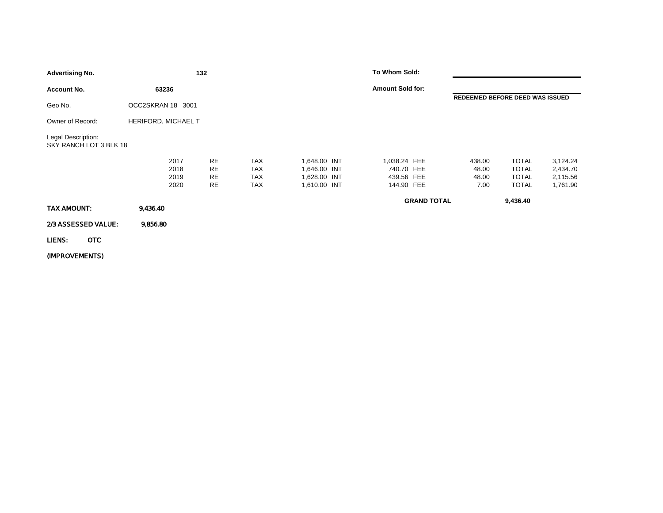| <b>Advertising No.</b>                       | 132                          |                                                  |                                                      |                                                              | To Whom Sold:                                          |                    |                                  |                                                              |                                              |
|----------------------------------------------|------------------------------|--------------------------------------------------|------------------------------------------------------|--------------------------------------------------------------|--------------------------------------------------------|--------------------|----------------------------------|--------------------------------------------------------------|----------------------------------------------|
| <b>Account No.</b>                           | 63236                        |                                                  |                                                      |                                                              | <b>Amount Sold for:</b>                                |                    |                                  |                                                              |                                              |
| Geo No.                                      | OCC2SKRAN 18 3001            |                                                  |                                                      |                                                              |                                                        |                    | REDEEMED BEFORE DEED WAS ISSUED  |                                                              |                                              |
| Owner of Record:                             | <b>HERIFORD, MICHAEL T</b>   |                                                  |                                                      |                                                              |                                                        |                    |                                  |                                                              |                                              |
| Legal Description:<br>SKY RANCH LOT 3 BLK 18 |                              |                                                  |                                                      |                                                              |                                                        |                    |                                  |                                                              |                                              |
|                                              | 2017<br>2018<br>2019<br>2020 | <b>RE</b><br><b>RE</b><br><b>RE</b><br><b>RE</b> | <b>TAX</b><br><b>TAX</b><br><b>TAX</b><br><b>TAX</b> | 1,648.00 INT<br>1,646.00 INT<br>1,628.00 INT<br>1,610.00 INT | 1,038.24 FEE<br>740.70 FEE<br>439.56 FEE<br>144.90 FEE |                    | 438.00<br>48.00<br>48.00<br>7.00 | <b>TOTAL</b><br><b>TOTAL</b><br><b>TOTAL</b><br><b>TOTAL</b> | 3,124.24<br>2,434.70<br>2,115.56<br>1,761.90 |
| TAX AMOUNT:                                  | 9,436.40                     |                                                  |                                                      |                                                              |                                                        | <b>GRAND TOTAL</b> |                                  | 9,436.40                                                     |                                              |
| 2/3 ASSESSED VALUE:                          | 9,856.80                     |                                                  |                                                      |                                                              |                                                        |                    |                                  |                                                              |                                              |
| <b>OTC</b><br>LIENS:                         |                              |                                                  |                                                      |                                                              |                                                        |                    |                                  |                                                              |                                              |
| (IMPROVEMENTS)                               |                              |                                                  |                                                      |                                                              |                                                        |                    |                                  |                                                              |                                              |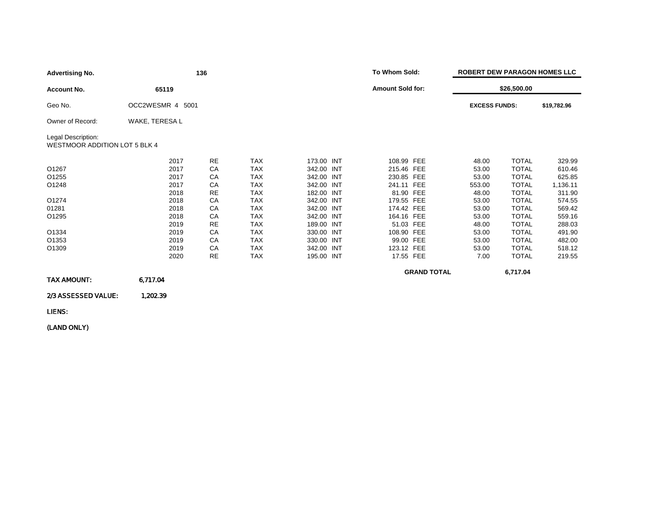| <b>Advertising No.</b>                                     | 136              |           |            |            |                         | To Whom Sold: |                    | <b>ROBERT DEW PARAGON HOMES LLC</b> |              |             |
|------------------------------------------------------------|------------------|-----------|------------|------------|-------------------------|---------------|--------------------|-------------------------------------|--------------|-------------|
| <b>Account No.</b>                                         | 65119            |           |            |            | <b>Amount Sold for:</b> |               |                    | \$26,500.00                         |              |             |
| Geo No.                                                    | OCC2WESMR 4 5001 |           |            |            |                         |               |                    | <b>EXCESS FUNDS:</b>                |              | \$19,782.96 |
| Owner of Record:                                           | WAKE, TERESA L   |           |            |            |                         |               |                    |                                     |              |             |
| Legal Description:<br><b>WESTMOOR ADDITION LOT 5 BLK 4</b> |                  |           |            |            |                         |               |                    |                                     |              |             |
|                                                            | 2017             | <b>RE</b> | <b>TAX</b> | 173.00 INT |                         | 108.99 FEE    |                    | 48.00                               | <b>TOTAL</b> | 329.99      |
| O1267                                                      | 2017             | CA        | <b>TAX</b> | 342.00 INT |                         | 215.46 FEE    |                    | 53.00                               | <b>TOTAL</b> | 610.46      |
| O1255                                                      | 2017             | CA        | <b>TAX</b> | 342.00 INT |                         | 230.85 FEE    |                    | 53.00                               | <b>TOTAL</b> | 625.85      |
| O1248                                                      | 2017             | CA        | <b>TAX</b> | 342.00 INT |                         | 241.11 FEE    |                    | 553.00                              | <b>TOTAL</b> | 1,136.11    |
|                                                            | 2018             | <b>RE</b> | <b>TAX</b> | 182.00 INT |                         | 81.90 FEE     |                    | 48.00                               | <b>TOTAL</b> | 311.90      |
| O1274                                                      | 2018             | CA        | <b>TAX</b> | 342.00 INT |                         | 179.55 FEE    |                    | 53.00                               | <b>TOTAL</b> | 574.55      |
| 01281                                                      | 2018             | CA        | <b>TAX</b> | 342.00 INT |                         | 174.42 FEE    |                    | 53.00                               | <b>TOTAL</b> | 569.42      |
| O1295                                                      | 2018             | CA        | <b>TAX</b> | 342.00 INT |                         | 164.16 FEE    |                    | 53.00                               | <b>TOTAL</b> | 559.16      |
|                                                            | 2019             | <b>RE</b> | <b>TAX</b> | 189.00 INT |                         | 51.03 FEE     |                    | 48.00                               | <b>TOTAL</b> | 288.03      |
| O1334                                                      | 2019             | CA        | <b>TAX</b> | 330.00 INT |                         | 108.90 FEE    |                    | 53.00                               | <b>TOTAL</b> | 491.90      |
| O1353                                                      | 2019             | CA        | <b>TAX</b> | 330.00 INT |                         | 99.00 FEE     |                    | 53.00                               | <b>TOTAL</b> | 482.00      |
| O1309                                                      | 2019             | CA        | <b>TAX</b> | 342.00 INT |                         | 123.12 FEE    |                    | 53.00                               | <b>TOTAL</b> | 518.12      |
|                                                            | 2020             | <b>RE</b> | <b>TAX</b> | 195.00 INT |                         | 17.55 FEE     |                    | 7.00                                | <b>TOTAL</b> | 219.55      |
|                                                            |                  |           |            |            |                         |               | <b>GRAND TOTAL</b> |                                     | 6,717.04     |             |
| <b>TAX AMOUNT:</b>                                         | 6,717.04         |           |            |            |                         |               |                    |                                     |              |             |
| 2/3 ASSESSED VALUE:                                        | 1,202.39         |           |            |            |                         |               |                    |                                     |              |             |
| LIENS:                                                     |                  |           |            |            |                         |               |                    |                                     |              |             |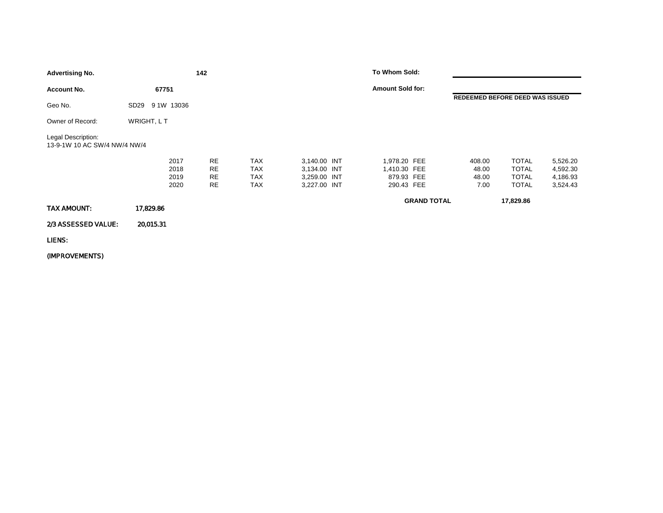| <b>Advertising No.</b>                             |                                | 142                                |                                                      |                                                              | To Whom Sold:                                            |                    |                                  |                                                              |                                              |
|----------------------------------------------------|--------------------------------|------------------------------------|------------------------------------------------------|--------------------------------------------------------------|----------------------------------------------------------|--------------------|----------------------------------|--------------------------------------------------------------|----------------------------------------------|
| <b>Account No.</b>                                 | 67751                          |                                    |                                                      |                                                              | <b>Amount Sold for:</b>                                  |                    |                                  |                                                              |                                              |
| Geo No.                                            | 9 1W 13036<br>SD <sub>29</sub> |                                    |                                                      |                                                              |                                                          |                    | REDEEMED BEFORE DEED WAS ISSUED  |                                                              |                                              |
| Owner of Record:                                   | WRIGHT, LT                     |                                    |                                                      |                                                              |                                                          |                    |                                  |                                                              |                                              |
| Legal Description:<br>13-9-1W 10 AC SW/4 NW/4 NW/4 |                                |                                    |                                                      |                                                              |                                                          |                    |                                  |                                                              |                                              |
|                                                    | 2017<br>2018<br>2019<br>2020   | <b>RE</b><br>RE<br>RE<br><b>RE</b> | <b>TAX</b><br><b>TAX</b><br><b>TAX</b><br><b>TAX</b> | 3,140.00 INT<br>3,134.00 INT<br>3,259.00 INT<br>3,227.00 INT | 1,978.20 FEE<br>1,410.30 FEE<br>879.93 FEE<br>290.43 FEE |                    | 408.00<br>48.00<br>48.00<br>7.00 | <b>TOTAL</b><br><b>TOTAL</b><br><b>TOTAL</b><br><b>TOTAL</b> | 5,526.20<br>4,592.30<br>4,186.93<br>3,524.43 |
| TAX AMOUNT:                                        | 17,829.86                      |                                    |                                                      |                                                              |                                                          | <b>GRAND TOTAL</b> |                                  | 17,829.86                                                    |                                              |
| 2/3 ASSESSED VALUE:                                | 20,015.31                      |                                    |                                                      |                                                              |                                                          |                    |                                  |                                                              |                                              |
| LIENS:                                             |                                |                                    |                                                      |                                                              |                                                          |                    |                                  |                                                              |                                              |
|                                                    |                                |                                    |                                                      |                                                              |                                                          |                    |                                  |                                                              |                                              |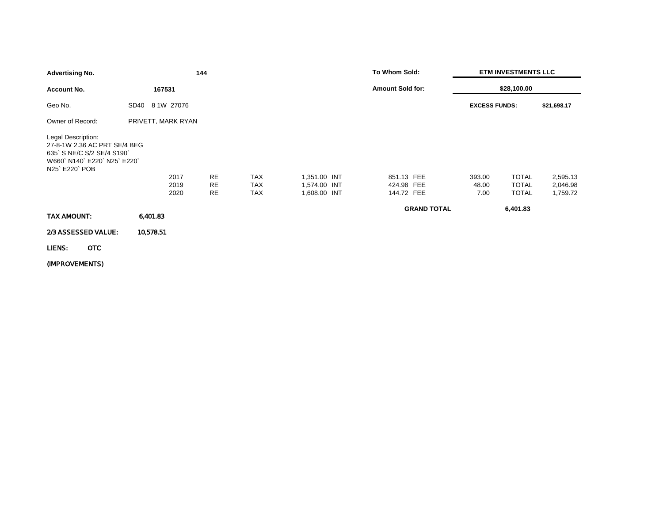| <b>Advertising No.</b>                                                                                                      |                    | 144             |                          |                              | To Whom Sold:            |                      | <b>ETM INVESTMENTS LLC</b>   |                      |
|-----------------------------------------------------------------------------------------------------------------------------|--------------------|-----------------|--------------------------|------------------------------|--------------------------|----------------------|------------------------------|----------------------|
| <b>Account No.</b>                                                                                                          | 167531             |                 |                          |                              | <b>Amount Sold for:</b>  |                      | \$28,100.00                  |                      |
| Geo No.                                                                                                                     | 8 1W 27076<br>SD40 |                 |                          |                              |                          | <b>EXCESS FUNDS:</b> |                              | \$21,698.17          |
| Owner of Record:                                                                                                            | PRIVETT, MARK RYAN |                 |                          |                              |                          |                      |                              |                      |
| Legal Description:<br>27-8-1W 2.36 AC PRT SE/4 BEG<br>635` S NE/C S/2 SE/4 S190`<br>W660 N140 E220 N25 E220<br>N25 E220 POB |                    |                 |                          |                              |                          |                      |                              |                      |
|                                                                                                                             | 2017               | <b>RE</b>       | <b>TAX</b>               | 1,351.00 INT                 | 851.13 FEE               | 393.00               | <b>TOTAL</b>                 | 2,595.13             |
|                                                                                                                             | 2019<br>2020       | <b>RE</b><br>RE | <b>TAX</b><br><b>TAX</b> | 1,574.00 INT<br>1,608.00 INT | 424.98 FEE<br>144.72 FEE | 48.00<br>7.00        | <b>TOTAL</b><br><b>TOTAL</b> | 2,046.98<br>1,759.72 |
| TAX AMOUNT:                                                                                                                 | 6,401.83           |                 |                          |                              | <b>GRAND TOTAL</b>       |                      | 6,401.83                     |                      |
| 2/3 ASSESSED VALUE:                                                                                                         | 10,578.51          |                 |                          |                              |                          |                      |                              |                      |
| OTC<br>LIENS:                                                                                                               |                    |                 |                          |                              |                          |                      |                              |                      |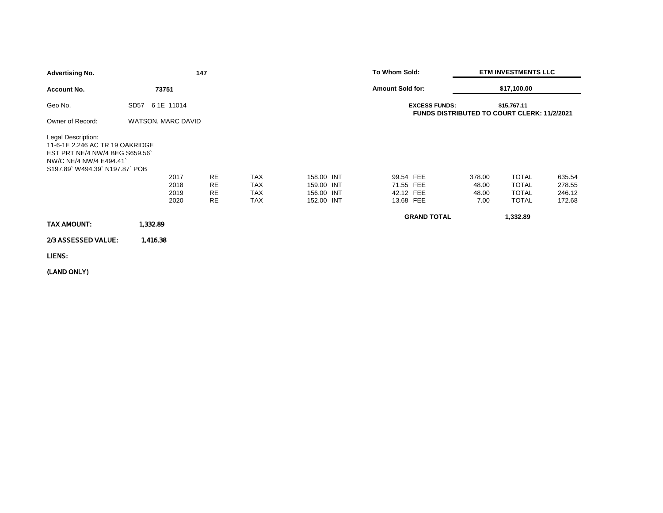| <b>Advertising No.</b>                                                                                                                          |                               | 147                                              |                                                      |                                                      | To Whom Sold:                                    |                                                                            | <b>ETM INVESTMENTS LLC</b>                                   |                                      |  |
|-------------------------------------------------------------------------------------------------------------------------------------------------|-------------------------------|--------------------------------------------------|------------------------------------------------------|------------------------------------------------------|--------------------------------------------------|----------------------------------------------------------------------------|--------------------------------------------------------------|--------------------------------------|--|
| <b>Account No.</b>                                                                                                                              | 73751                         |                                                  |                                                      |                                                      | <b>Amount Sold for:</b>                          |                                                                            | \$17,100.00                                                  |                                      |  |
| Geo No.                                                                                                                                         | 61E 11014<br>SD <sub>57</sub> |                                                  |                                                      |                                                      |                                                  | <b>EXCESS FUNDS:</b><br><b>FUNDS DISTRIBUTED TO COURT CLERK: 11/2/2021</b> | \$15,767.11                                                  |                                      |  |
| Owner of Record:                                                                                                                                | <b>WATSON, MARC DAVID</b>     |                                                  |                                                      |                                                      |                                                  |                                                                            |                                                              |                                      |  |
| Legal Description:<br>11-6-1E 2.246 AC TR 19 OAKRIDGE<br>EST PRT NE/4 NW/4 BEG S659.56<br>NW/C NE/4 NW/4 E494.41<br>S197.89 W494.39 N197.87 POB | 2017<br>2018<br>2019<br>2020  | <b>RE</b><br><b>RE</b><br><b>RE</b><br><b>RE</b> | <b>TAX</b><br><b>TAX</b><br><b>TAX</b><br><b>TAX</b> | 158.00 INT<br>159.00 INT<br>156.00 INT<br>152.00 INT | 99.54 FEE<br>71.55 FEE<br>42.12 FEE<br>13.68 FEE | 378.00<br>48.00<br>48.00<br>7.00                                           | <b>TOTAL</b><br><b>TOTAL</b><br><b>TOTAL</b><br><b>TOTAL</b> | 635.54<br>278.55<br>246.12<br>172.68 |  |
| <b>TAX AMOUNT:</b>                                                                                                                              | 1,332.89                      |                                                  |                                                      |                                                      |                                                  | <b>GRAND TOTAL</b>                                                         | 1,332.89                                                     |                                      |  |
| 2/3 ASSESSED VALUE:                                                                                                                             | 1,416.38                      |                                                  |                                                      |                                                      |                                                  |                                                                            |                                                              |                                      |  |
| LIENS:                                                                                                                                          |                               |                                                  |                                                      |                                                      |                                                  |                                                                            |                                                              |                                      |  |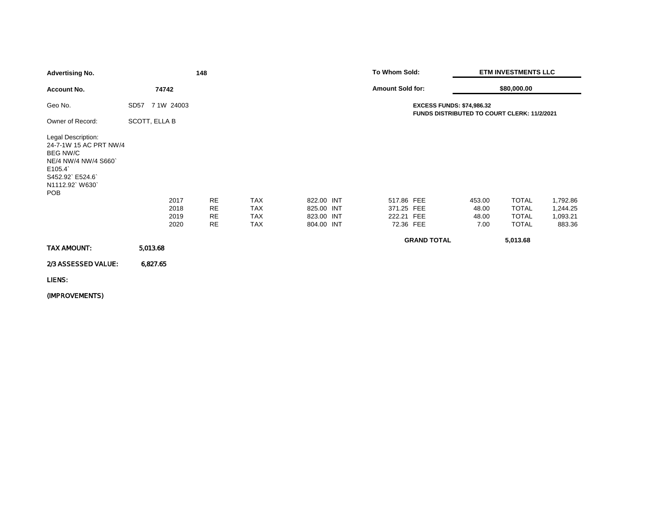| <b>Advertising No.</b>                                                                                                                              |                                | 148                                              |                                                      |                                                      | To Whom Sold:                                                                   |                                  | <b>ETM INVESTMENTS LLC</b>                                   |                                            |  |
|-----------------------------------------------------------------------------------------------------------------------------------------------------|--------------------------------|--------------------------------------------------|------------------------------------------------------|------------------------------------------------------|---------------------------------------------------------------------------------|----------------------------------|--------------------------------------------------------------|--------------------------------------------|--|
| <b>Account No.</b>                                                                                                                                  | 74742                          |                                                  |                                                      |                                                      | <b>Amount Sold for:</b>                                                         |                                  | \$80,000.00                                                  |                                            |  |
| Geo No.                                                                                                                                             | 7 1W 24003<br>SD <sub>57</sub> |                                                  |                                                      |                                                      | <b>EXCESS FUNDS: \$74,986.32</b><br>FUNDS DISTRIBUTED TO COURT CLERK: 11/2/2021 |                                  |                                                              |                                            |  |
| Owner of Record:                                                                                                                                    | SCOTT, ELLA B                  |                                                  |                                                      |                                                      |                                                                                 |                                  |                                                              |                                            |  |
| Legal Description:<br>24-7-1W 15 AC PRT NW/4<br><b>BEG NW/C</b><br>NE/4 NW/4 NW/4 S660<br>E105.4<br>S452.92` E524.6`<br>N1112.92 W630<br><b>POB</b> | 2017<br>2018<br>2019<br>2020   | <b>RE</b><br><b>RE</b><br><b>RE</b><br><b>RE</b> | <b>TAX</b><br><b>TAX</b><br><b>TAX</b><br><b>TAX</b> | 822.00 INT<br>825.00 INT<br>823.00 INT<br>804.00 INT | 517.86 FEE<br>371.25 FEE<br>222.21 FEE<br>72.36 FEE                             | 453.00<br>48.00<br>48.00<br>7.00 | <b>TOTAL</b><br><b>TOTAL</b><br><b>TOTAL</b><br><b>TOTAL</b> | 1,792.86<br>1,244.25<br>1,093.21<br>883.36 |  |
| TAX AMOUNT:                                                                                                                                         | 5,013.68                       |                                                  |                                                      |                                                      |                                                                                 | <b>GRAND TOTAL</b>               | 5,013.68                                                     |                                            |  |
| 2/3 ASSESSED VALUE:                                                                                                                                 | 6,827.65                       |                                                  |                                                      |                                                      |                                                                                 |                                  |                                                              |                                            |  |
| LIENS:                                                                                                                                              |                                |                                                  |                                                      |                                                      |                                                                                 |                                  |                                                              |                                            |  |
| (IMPROVEMENTS)                                                                                                                                      |                                |                                                  |                                                      |                                                      |                                                                                 |                                  |                                                              |                                            |  |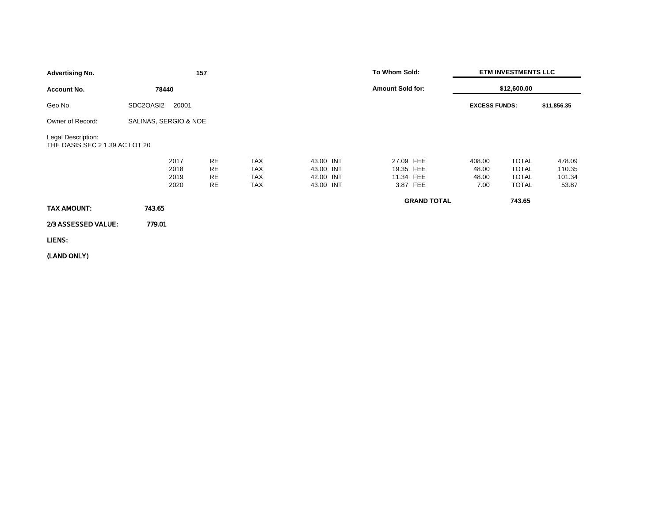| <b>Advertising No.</b>                               |                              | 157                         |                                               |                                                  | To Whom Sold:                                   | <b>ETM INVESTMENTS LLC</b>       |                                                              |                                     |
|------------------------------------------------------|------------------------------|-----------------------------|-----------------------------------------------|--------------------------------------------------|-------------------------------------------------|----------------------------------|--------------------------------------------------------------|-------------------------------------|
| <b>Account No.</b>                                   | 78440                        |                             |                                               |                                                  | <b>Amount Sold for:</b>                         | \$12,600.00                      |                                                              |                                     |
| Geo No.                                              | SDC2OASI2<br>20001           |                             |                                               |                                                  |                                                 | <b>EXCESS FUNDS:</b>             |                                                              | \$11,856.35                         |
| Owner of Record:                                     | SALINAS, SERGIO & NOE        |                             |                                               |                                                  |                                                 |                                  |                                                              |                                     |
| Legal Description:<br>THE OASIS SEC 2 1.39 AC LOT 20 |                              |                             |                                               |                                                  |                                                 |                                  |                                                              |                                     |
|                                                      | 2017<br>2018<br>2019<br>2020 | <b>RE</b><br>RE<br>RE<br>RE | <b>TAX</b><br><b>TAX</b><br><b>TAX</b><br>TAX | 43.00 INT<br>43.00 INT<br>42.00 INT<br>43.00 INT | 27.09 FEE<br>19.35 FEE<br>11.34 FEE<br>3.87 FEE | 408.00<br>48.00<br>48.00<br>7.00 | <b>TOTAL</b><br><b>TOTAL</b><br><b>TOTAL</b><br><b>TOTAL</b> | 478.09<br>110.35<br>101.34<br>53.87 |
| TAX AMOUNT:                                          | 743.65                       |                             |                                               |                                                  | <b>GRAND TOTAL</b>                              |                                  | 743.65                                                       |                                     |
| 2/3 ASSESSED VALUE:                                  | 779.01                       |                             |                                               |                                                  |                                                 |                                  |                                                              |                                     |
| LIENS:                                               |                              |                             |                                               |                                                  |                                                 |                                  |                                                              |                                     |
|                                                      |                              |                             |                                               |                                                  |                                                 |                                  |                                                              |                                     |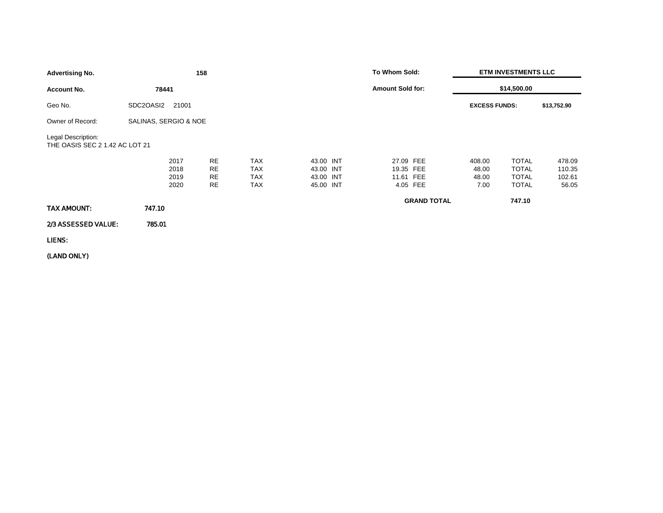| <b>Advertising No.</b>                               |                              | 158                         |                                                      |                                                  | To Whom Sold:                       |                         | <b>ETM INVESTMENTS LLC</b>       |                                                              |                                     |
|------------------------------------------------------|------------------------------|-----------------------------|------------------------------------------------------|--------------------------------------------------|-------------------------------------|-------------------------|----------------------------------|--------------------------------------------------------------|-------------------------------------|
| <b>Account No.</b>                                   | 78441                        |                             |                                                      |                                                  |                                     | <b>Amount Sold for:</b> |                                  | \$14,500.00                                                  |                                     |
| Geo No.                                              | SDC2OASI2                    | 21001                       |                                                      |                                                  |                                     |                         | <b>EXCESS FUNDS:</b>             |                                                              | \$13,752.90                         |
| Owner of Record:                                     | SALINAS, SERGIO & NOE        |                             |                                                      |                                                  |                                     |                         |                                  |                                                              |                                     |
| Legal Description:<br>THE OASIS SEC 2 1.42 AC LOT 21 |                              |                             |                                                      |                                                  |                                     |                         |                                  |                                                              |                                     |
|                                                      | 2017<br>2018<br>2019<br>2020 | <b>RE</b><br>RE<br>RE<br>RE | <b>TAX</b><br><b>TAX</b><br><b>TAX</b><br><b>TAX</b> | 43.00 INT<br>43.00 INT<br>43.00 INT<br>45.00 INT | 27.09 FEE<br>19.35 FEE<br>11.61 FEE | 4.05 FEE                | 408.00<br>48.00<br>48.00<br>7.00 | <b>TOTAL</b><br><b>TOTAL</b><br><b>TOTAL</b><br><b>TOTAL</b> | 478.09<br>110.35<br>102.61<br>56.05 |
| TAX AMOUNT:                                          | 747.10                       |                             |                                                      |                                                  |                                     | <b>GRAND TOTAL</b>      |                                  | 747.10                                                       |                                     |
| 2/3 ASSESSED VALUE:                                  | 785.01                       |                             |                                                      |                                                  |                                     |                         |                                  |                                                              |                                     |
| LIENS:                                               |                              |                             |                                                      |                                                  |                                     |                         |                                  |                                                              |                                     |
|                                                      |                              |                             |                                                      |                                                  |                                     |                         |                                  |                                                              |                                     |